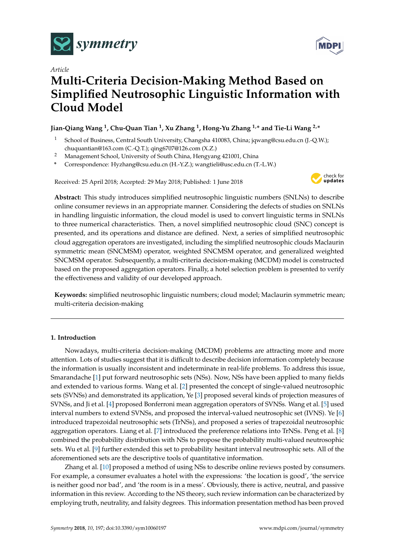

*Article*



# **Multi-Criteria Decision-Making Method Based on Simplified Neutrosophic Linguistic Information with Cloud Model**

# **Jian-Qiang Wang <sup>1</sup> , Chu-Quan Tian <sup>1</sup> , Xu Zhang <sup>1</sup> , Hong-Yu Zhang 1,\* and Tie-Li Wang 2,\***

- <sup>1</sup> School of Business, Central South University, Changsha 410083, China; jqwang@csu.edu.cn (J.-Q.W.); chuquantian@163.com (C.-Q.T.); qing6707@126.com (X.Z.)
- <sup>2</sup> Management School, University of South China, Hengyang 421001, China
- **\*** Correspondence: Hyzhang@csu.edu.cn (H.-Y.Z.); wangtieli@usc.edu.cn (T.-L.W.)

Received: 25 April 2018; Accepted: 29 May 2018; Published: 1 June 2018



**Abstract:** This study introduces simplified neutrosophic linguistic numbers (SNLNs) to describe online consumer reviews in an appropriate manner. Considering the defects of studies on SNLNs in handling linguistic information, the cloud model is used to convert linguistic terms in SNLNs to three numerical characteristics. Then, a novel simplified neutrosophic cloud (SNC) concept is presented, and its operations and distance are defined. Next, a series of simplified neutrosophic cloud aggregation operators are investigated, including the simplified neutrosophic clouds Maclaurin symmetric mean (SNCMSM) operator, weighted SNCMSM operator, and generalized weighted SNCMSM operator. Subsequently, a multi-criteria decision-making (MCDM) model is constructed based on the proposed aggregation operators. Finally, a hotel selection problem is presented to verify the effectiveness and validity of our developed approach.

**Keywords:** simplified neutrosophic linguistic numbers; cloud model; Maclaurin symmetric mean; multi-criteria decision-making

# **1. Introduction**

Nowadays, multi-criteria decision-making (MCDM) problems are attracting more and more attention. Lots of studies suggest that it is difficult to describe decision information completely because the information is usually inconsistent and indeterminate in real-life problems. To address this issue, Smarandache [\[1\]](#page-20-0) put forward neutrosophic sets (NSs). Now, NSs have been applied to many fields and extended to various forms. Wang et al. [\[2\]](#page-20-1) presented the concept of single-valued neutrosophic sets (SVNSs) and demonstrated its application, Ye [\[3\]](#page-20-2) proposed several kinds of projection measures of SVNSs, and Ji et al. [\[4\]](#page-20-3) proposed Bonferroni mean aggregation operators of SVNSs. Wang et al. [\[5\]](#page-20-4) used interval numbers to extend SVNSs, and proposed the interval-valued neutrosophic set (IVNS). Ye [\[6\]](#page-20-5) introduced trapezoidal neutrosophic sets (TrNSs), and proposed a series of trapezoidal neutrosophic aggregation operators. Liang et al. [\[7\]](#page-20-6) introduced the preference relations into TrNSs. Peng et al. [\[8\]](#page-20-7) combined the probability distribution with NSs to propose the probability multi-valued neutrosophic sets. Wu et al. [\[9\]](#page-20-8) further extended this set to probability hesitant interval neutrosophic sets. All of the aforementioned sets are the descriptive tools of quantitative information.

Zhang et al. [\[10\]](#page-20-9) proposed a method of using NSs to describe online reviews posted by consumers. For example, a consumer evaluates a hotel with the expressions: 'the location is good', 'the service is neither good nor bad', and 'the room is in a mess'. Obviously, there is active, neutral, and passive information in this review. According to the NS theory, such review information can be characterized by employing truth, neutrality, and falsity degrees. This information presentation method has been proved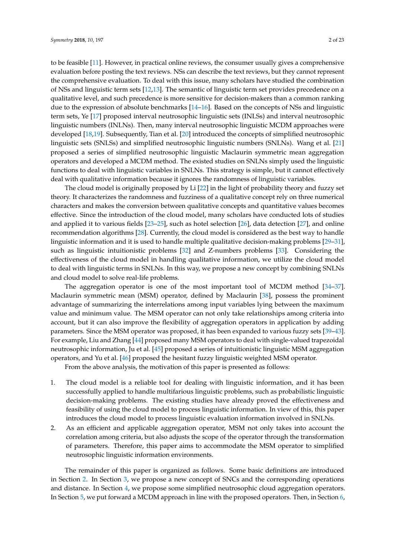to be feasible [\[11\]](#page-20-10). However, in practical online reviews, the consumer usually gives a comprehensive evaluation before posting the text reviews. NSs can describe the text reviews, but they cannot represent the comprehensive evaluation. To deal with this issue, many scholars have studied the combination of NSs and linguistic term sets [\[12,](#page-20-11)[13\]](#page-20-12). The semantic of linguistic term set provides precedence on a qualitative level, and such precedence is more sensitive for decision-makers than a common ranking due to the expression of absolute benchmarks [\[14](#page-20-13)[–16\]](#page-21-0). Based on the concepts of NSs and linguistic term sets, Ye [\[17\]](#page-21-1) proposed interval neutrosophic linguistic sets (INLSs) and interval neutrosophic linguistic numbers (INLNs). Then, many interval neutrosophic linguistic MCDM approaches were developed [\[18,](#page-21-2)[19\]](#page-21-3). Subsequently, Tian et al. [\[20\]](#page-21-4) introduced the concepts of simplified neutrosophic linguistic sets (SNLSs) and simplified neutrosophic linguistic numbers (SNLNs). Wang et al. [\[21\]](#page-21-5) proposed a series of simplified neutrosophic linguistic Maclaurin symmetric mean aggregation operators and developed a MCDM method. The existed studies on SNLNs simply used the linguistic functions to deal with linguistic variables in SNLNs. This strategy is simple, but it cannot effectively deal with qualitative information because it ignores the randomness of linguistic variables.

The cloud model is originally proposed by Li [\[22\]](#page-21-6) in the light of probability theory and fuzzy set theory. It characterizes the randomness and fuzziness of a qualitative concept rely on three numerical characters and makes the conversion between qualitative concepts and quantitative values becomes effective. Since the introduction of the cloud model, many scholars have conducted lots of studies and applied it to various fields [\[23–](#page-21-7)[25\]](#page-21-8), such as hotel selection [\[26\]](#page-21-9), data detection [\[27\]](#page-21-10), and online recommendation algorithms [\[28\]](#page-21-11). Currently, the cloud model is considered as the best way to handle linguistic information and it is used to handle multiple qualitative decision-making problems [\[29](#page-21-12)[–31\]](#page-21-13), such as linguistic intuitionistic problems [\[32\]](#page-21-14) and Z-numbers problems [\[33\]](#page-21-15). Considering the effectiveness of the cloud model in handling qualitative information, we utilize the cloud model to deal with linguistic terms in SNLNs. In this way, we propose a new concept by combining SNLNs and cloud model to solve real-life problems.

The aggregation operator is one of the most important tool of MCDM method [\[34–](#page-21-16)[37\]](#page-21-17). Maclaurin symmetric mean (MSM) operator, defined by Maclaurin [\[38\]](#page-21-18), possess the prominent advantage of summarizing the interrelations among input variables lying between the maximum value and minimum value. The MSM operator can not only take relationships among criteria into account, but it can also improve the flexibility of aggregation operators in application by adding parameters. Since the MSM operator was proposed, it has been expanded to various fuzzy sets [\[39–](#page-21-19)[43\]](#page-22-0). For example, Liu and Zhang [\[44\]](#page-22-1) proposed many MSM operators to deal with single-valued trapezoidal neutrosophic information, Ju et al. [\[45\]](#page-22-2) proposed a series of intuitionistic linguistic MSM aggregation operators, and Yu et al. [\[46\]](#page-22-3) proposed the hesitant fuzzy linguistic weighted MSM operator.

From the above analysis, the motivation of this paper is presented as follows:

- 1. The cloud model is a reliable tool for dealing with linguistic information, and it has been successfully applied to handle multifarious linguistic problems, such as probabilistic linguistic decision-making problems. The existing studies have already proved the effectiveness and feasibility of using the cloud model to process linguistic information. In view of this, this paper introduces the cloud model to process linguistic evaluation information involved in SNLNs.
- 2. As an efficient and applicable aggregation operator, MSM not only takes into account the correlation among criteria, but also adjusts the scope of the operator through the transformation of parameters. Therefore, this paper aims to accommodate the MSM operator to simplified neutrosophic linguistic information environments.

The remainder of this paper is organized as follows. Some basic definitions are introduced in Section [2.](#page-2-0) In Section [3,](#page-3-0) we propose a new concept of SNCs and the corresponding operations and distance. In Section [4,](#page-7-0) we propose some simplified neutrosophic cloud aggregation operators. In Section [5,](#page-13-0) we put forward a MCDM approach in line with the proposed operators. Then, in Section [6,](#page-14-0)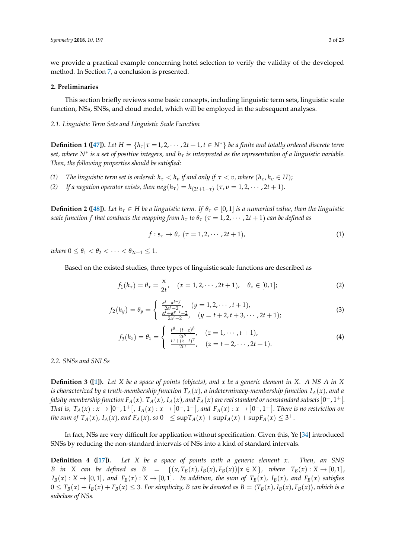we provide a practical example concerning hotel selection to verify the validity of the developed method. In Section [7,](#page-19-0) a conclusion is presented.

# <span id="page-2-0"></span>**2. Preliminaries**

This section briefly reviews some basic concepts, including linguistic term sets, linguistic scale function, NSs, SNSs, and cloud model, which will be employed in the subsequent analyses.

*2.1. Linguistic Term Sets and Linguistic Scale Function*

**Definition 1** ([\[47\]](#page-22-4)). Let  $H = \{h_\tau | \tau = 1, 2, \cdots, 2t + 1, t \in \mathbb{N}^*\}$  be a finite and totally ordered discrete term *set, where N*<sup>∗</sup> *is a set of positive integers, and h<sup>τ</sup> is interpreted as the representation of a linguistic variable. Then, the following properties should be satisfied:*

- *(1) The linguistic term set is ordered:*  $h_\tau < h_\nu$  *if and only if*  $\tau < \nu$ *, where*  $(h_\tau, h_\nu \in H)$ ;
- *(2) If a negation operator exists, then*  $neg(h_{\tau}) = h_{(2t+1-\tau)}(\tau, v = 1, 2, \cdots, 2t + 1)$ *.*

**Definition 2 ([\[48\]](#page-22-5)).** Let  $h_\tau \in H$  be a linguistic term. If  $\theta_\tau \in [0,1]$  is a numerical value, then the linguistic *scale function f that conducts the mapping from*  $h_{\tau}$  *to*  $\theta_{\tau}$  ( $\tau = 1, 2, \cdots, 2t + 1$ ) *can be defined as* 

$$
f: \mathbf{s}_{\tau} \to \theta_{\tau} \; (\tau = 1, 2, \cdots, 2t + 1), \tag{1}
$$

*where*  $0 \le \theta_1 < \theta_2 < \cdots < \theta_{2t+1} \le 1$ .

Based on the existed studies, three types of linguistic scale functions are described as

$$
f_1(h_x) = \theta_x = \frac{x}{2t}, \quad (x = 1, 2, \cdots, 2t + 1), \quad \theta_x \in [0, 1];
$$
 (2)

$$
f_2(h_y) = \theta_y = \begin{cases} \frac{\alpha^t - \alpha^{t-y}}{2\alpha^t - 2}, & (y = 1, 2, \dots, t+1), \\ \frac{\alpha^t + \alpha^{y-t} - 2}{2\alpha^t - 2}, & (y = t+2, t+3, \dots, 2t+1); \end{cases}
$$
(3)

$$
f_3(h_z) = \theta_z = \begin{cases} \frac{t^{\beta} - (t-z)^{\beta}}{2t^{\beta}}, & (z = 1, \dots, t+1), \\ \frac{t^{\gamma} + (z-t)^{\gamma}}{2t^{\gamma}}, & (z = t+2, \dots, 2t+1). \end{cases}
$$
(4)

*2.2. SNSs and SNLSs*

**Definition 3 ([\[1\]](#page-20-0)).** *Let X be a space of points (objects), and x be a generic element in X. A NS A in X is characterized by a truth-membership function*  $T_A(x)$ *, a indeterminacy-membership function*  $I_A(x)$ *, and a* falsity-membership function  $F_A(x)$ .  $T_A(x)$ ,  $I_A(x)$ , and  $F_A(x)$  are real standard or nonstandard subsets  $]0^-,1^+[$ . *That is,*  $T_A(x): x → ]0^-, 1^+[, I_A(x): x → ]0^-, 1^+[,$  and  $F_A(x): x → ]0^-, 1^+[$ . There is no restriction on *the sum of*  $T_A(x)$ ,  $I_A(x)$ , and  $F_A(x)$ , so 0<sup>−</sup> ≤ sup $T_A(x)$  + sup $I_A(x)$  + sup $F_A(x)$  ≤ 3<sup>+</sup>.

In fact, NSs are very difficult for application without specification. Given this, Ye [\[34\]](#page-21-16) introduced SNSs by reducing the non-standard intervals of NSs into a kind of standard intervals.

**Definition 4 ([\[17\]](#page-21-1)).** *Let X be a space of points with a generic element x. Then, an SNS* B in X can be defined as  $B = \{(x, T_B(x), I_B(x), F_B(x)) | x \in X\}$ , where  $T_B(x) : X \to [0,1]$ ,  $I_B(x): X \to [0,1]$ , and  $F_B(x): X \to [0,1]$ . In addition, the sum of  $T_B(x)$ ,  $I_B(x)$ , and  $F_B(x)$  satisfies  $0 \leq T_B(x) + I_B(x) + F_B(x) \leq 3$ . For simplicity, B can be denoted as  $B = \langle T_B(x), I_B(x), F_B(x) \rangle$ , which is a *subclass of NSs.*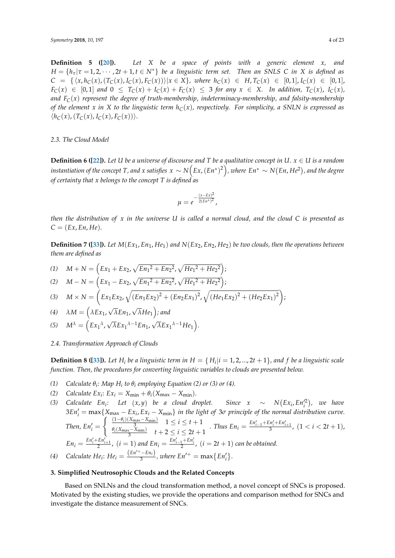**Definition 5 ([\[20\]](#page-21-4)).** *Let X be a space of points with a generic element x, and*  $H = \{h_{\tau} | \tau = 1, 2, \cdots, 2t + 1, t \in N^*\}$  *be a linguistic term set. Then an SNLS C in X is defined as*  $C = \{ \langle x, h_C(x), (T_C(x), I_C(x), F_C(x)) \rangle | x \in X \},$  where  $h_C(x) \in H, T_C(x) \in [0,1], I_C(x) \in [0,1],$  $F_C(x) \in [0,1]$  and  $0 \leq T_C(x) + I_C(x) + F_C(x) \leq 3$  for any  $x \in X$ . In addition,  $T_C(x)$ ,  $I_C(x)$ , *and FC*(*x*) *represent the degree of truth-membership, indeterminacy-membership, and falsity-membership of the element x in X to the linguistic term hC*(*x*)*, respectively. For simplicity, a SNLN is expressed as*  $\langle h_C(x), (T_C(x), I_C(x), F_C(x)) \rangle$ .

## *2.3. The Cloud Model*

**Definition 6 ([\[22\]](#page-21-6)).** Let U be a universe of discourse and T be a qualitative concept in U.  $x \in U$  is a random  $i$ nstantiation of the concept  $T$ , and  $x$  satisfies  $x\sim N\big(Ex,(En^*)^2\big)$ , where  $En^*\sim N(En, He^2)$ , and the degree *of certainty that x belongs to the concept T is defined as*

$$
\mu = e^{-\frac{(x - Ex)^2}{2(En^*)^2}},
$$

*then the distribution of x in the universe U is called a normal cloud, and the cloud C is presented as*  $C = (Ex, En, He).$ 

**Definition 7 ([\[33\]](#page-21-15)).** *Let M*(*Ex*1, *En*1, *He*1) *and N*(*Ex*2, *En*2, *He*2) *be two clouds, then the operations between them are defined as*

(1) 
$$
M+N = \left(Ex_1 + Ex_2, \sqrt{En_1^2 + En_2^2}, \sqrt{He_1^2 + He_2^2}\right);
$$

(2) 
$$
M - N = \left( Ex_1 - Ex_2, \sqrt{En_1^2 + En_2^2}, \sqrt{He_1^2 + He_2^2} \right);
$$

(3) 
$$
M \times N = \left( Ex_1 Ex_2, \sqrt{(En_1 Ex_2)^2 + (En_2 Ex_1)^2}, \sqrt{(He_1 Ex_2)^2 + (He_2 Ex_1)^2} \right);
$$

(4) 
$$
\lambda M = (\lambda E x_1, \sqrt{\lambda} E n_1, \sqrt{\lambda} H e_1)
$$
; and

$$
(5) \quad M^{\lambda} = \left( Ex_1{}^{\lambda}, \sqrt{\lambda} Ex_1{}^{\lambda-1} En_1, \sqrt{\lambda} Ex_1{}^{\lambda-1} He_1 \right)
$$

# <span id="page-3-1"></span>*2.4. Transformation Approach of Clouds*

**Definition 8 ([\[33\]](#page-21-15)).** Let  $H_i$  be a linguistic term in  $H = \{H_i | i = 1, 2, ..., 2t + 1\}$ , and  $f$  be a linguistic scale *function. Then, the procedures for converting linguistic variables to clouds are presented below.*

.

- *(1) Calculate*  $\theta_i$ : Map  $H_i$  to  $\theta_i$  employing Equation (2) or (3) or (4).
- *(2) Calculate*  $Ex_i$ :  $Ex_i = X_{\min} + \theta_i(X_{\max} X_{\min}).$

*(3) Calculate*  $En_i$ : Let  $(x, y)$  be a cloud droplet. Since  $x \sim N(Ex_i, En_i'^2)$ , we have  $3En'_i = \max\{X_{\max} - Ex_i, Ex_i - X_{\min}\}\$ in the light of 3*σ* principle of the normal distribution curve. *Then,*  $En'_i =$  $\begin{cases} \frac{(1-\theta_i)(X_{\text{max}}-X_{\text{min}})}{3} & 1 \leq i \leq t+1 \end{cases}$  $\frac{\theta_i(X_{\max} - X_{\min})}{3}$   $1 \le i \le t + 1$  *. Thus En<sub>i</sub>* =  $\frac{En'_{i-1} + En'_i + En'_{i+1}}{3}$ ,  $(1 < i < 2t + 1)$ ,  $\frac{\theta_i(X_{\max} - X_{\min})}{3}$   $t + 2 \le i \le 2t + 1$  $En_i = \frac{En'_i + En'_i}{2}$ ,  $(i = 1)$  and  $En_i = \frac{En'_{i-1} + En'_i}{2}$ ,  $(i = 2t + 1)$  can be obtained. *(4) Calculate He*<sub>*i*</sub>: *He*<sub>*i*</sub> =  $\frac{(En'^{+} - En_{i})}{3}$  $\frac{-E n_i}{3}$ , where  $E n'^{+} = \max \{ E n'_i \}.$ 

$$
\mathcal{L}^{\mathcal{L}}(\mathcal{L}^{\mathcal{L}}(\mathcal{L}^{\mathcal{L}}(\mathcal{L}^{\mathcal{L}}(\mathcal{L}^{\mathcal{L}}(\mathcal{L}^{\mathcal{L}}(\mathcal{L}^{\mathcal{L}}(\mathcal{L}^{\mathcal{L}}(\mathcal{L}^{\mathcal{L}}(\mathcal{L}^{\mathcal{L}}(\mathcal{L}^{\mathcal{L}}(\mathcal{L}^{\mathcal{L}}(\mathcal{L}^{\mathcal{L}}(\mathcal{L}^{\mathcal{L}}(\mathcal{L}^{\mathcal{L}}(\mathcal{L}^{\mathcal{L}}(\mathcal{L}^{\mathcal{L}}(\mathcal{L}^{\mathcal{L}}(\mathcal{L}^{\mathcal{L}}(\mathcal{L}^{\mathcal{L}}(\mathcal{L}^{\mathcal{L}}(\mathcal{L}^{\mathcal{L}}(\mathcal{L}^{\mathcal{L}}(\mathcal{L}^{\mathcal{L}}(\mathcal{L}^{\mathcal{L}}(\mathcal{L}^{\mathcal{L}}(\mathcal{L}^{\mathcal{L}}(\mathcal{L}^{\mathcal{L}}(\mathcal{L}^{\mathcal{L}}(\mathcal{L}^{\mathcal{L}}(\mathcal{L}^{\mathcal{L}}(\mathcal{L}^{\mathcal{L}}(\mathcal{L}^{\mathcal{L}}(\mathcal{L}^{\mathcal{L}}(\mathcal{L}^{\mathcal{L}}(\mathcal{L}^{\mathcal{L}}(\mathcal{L}^{\mathcal{L}}(\mathcal{L}^{\mathcal{L}}(\mathcal{L}^{\mathcal{L}}(\mathcal{L}^{\mathcal{L}}(\mathcal{L}^{\mathcal{L}}(\mathcal{L}^{\mathcal{L}}(\mathcal{L}^{\mathcal{L}}(\mathcal{L}^{\mathcal{L}}(\mathcal{L}^{\mathcal{L}}(\mathcal{L}^{\mathcal{L}}(\mathcal{L}^{\mathcal{L}}(\mathcal{L}^{\mathcal{L}}(\mathcal{L}^{\mathcal{L}}(\mathcal{L}^{\mathcal{L}}(\mathcal{L}^{\mathcal{L}}(\mathcal{L}^{\mathcal{L}}(\mathcal{L}^{\mathcal{L}}(\mathcal{L}^{\mathcal{L}}(\mathcal{L}^{\mathcal{L}}(\mathcal{L}^{\mathcal{L}}(\mathcal{L}^{\mathcal{L}}(\mathcal{L}^{\mathcal{L}}(\mathcal{L}
$$

# <span id="page-3-0"></span>**3. Simplified Neutrosophic Clouds and the Related Concepts**

Based on SNLNs and the cloud transformation method, a novel concept of SNCs is proposed. Motivated by the existing studies, we provide the operations and comparison method for SNCs and investigate the distance measurement of SNCs.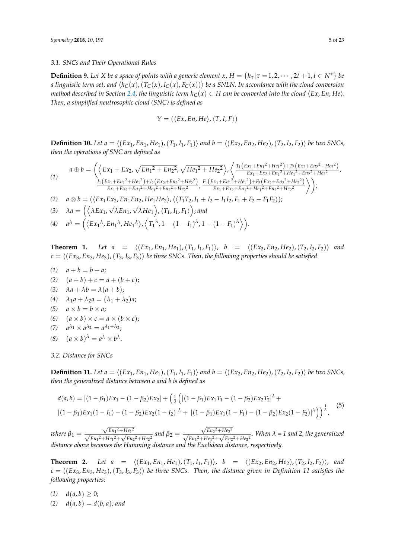## *3.1. SNCs and Their Operational Rules*

**Definition 9.** Let *X* be a space of points with a generic element  $x$ ,  $H = \{h_\tau | \tau = 1, 2, \dots, 2t + 1, t \in N^*\}$  be *a linguistic term set, and*  $\langle h_C(x), (T_C(x), I_C(x), F_C(x)) \rangle$  *be a SNLN. In accordance with the cloud conversion method described in Section [2.4,](#page-3-1) the linguistic term*  $h_C(x) \in H$  *can be converted into the cloud*  $\langle Ex, En, He \rangle$ *. Then, a simplified neutrosophic cloud (SNC) is defined as*

$$
Y = (\langle Ex, En, He \rangle, \langle T, I, F \rangle)
$$

**Definition 10.** Let  $a = \langle (Ex_1, En_1, He_1), (T_1, I_1, F_1) \rangle$  and  $b = \langle (Ex_2, En_2, He_2), (T_2, I_2, F_2) \rangle$  be two SNCs, *then the operations of SNC are defined as*

$$
a \oplus b = \left( \left\langle Ex_1 + Ex_2, \sqrt{En_1^2 + En_2^2}, \sqrt{He_1^2 + He_2^2} \right\rangle, \left\langle \frac{T_1(Ex_1 + En_1^2 + He_1^2) + T_2(Ex_2 + En_2^2 + He_2^2)}{Ex_1 + Ex_2 + En_1^2 + He_1^2 + He_2^2 + He_2^2} \right\rangle, \n\frac{I_1(Ex_1 + En_1^2 + He_1^2) + I_2(Ex_2 + En_2^2 + He_2^2)}{Ex_1 + Ex_2 + En_1^2 + He_1^2 + He_2^2 + He_2^2} \right\rangle, \frac{F_1(Ex_1 + En_1^2 + He_1^2) + F_2(Ex_2 + En_2^2 + He_2^2 + He_2^2)}{Ex_1 + Ex_2 + En_1^2 + He_1^2 + He_1^2 + He_2^2 + He_2^2} \right\rangle
$$

*(2) a* ⊗ *b* = ( $\langle Ex_1 Ex_2, En_1 En_2, He_1He_2 \rangle$ ,  $\langle \langle T_1 T_2, I_1 + I_2 - I_1 I_2, F_1 + F_2 - F_1 F_2 \rangle$ ); √

(3) 
$$
\lambda a = (\langle \lambda Ex_1, \sqrt{\lambda} En_1, \sqrt{\lambda} He_1 \rangle, \langle T_1, I_1, F_1 \rangle)
$$
; and

 $\left(4\right)$   $a^{\lambda} = \left(\left\langle Ex_1{}^{\lambda}, En_1{}^{\lambda}, He_1{}^{\lambda}\right\rangle, \left\langle T_1{}^{\lambda}, 1-(1-I_1)^{\lambda}, 1-(1-F_1)^{\lambda}\right\rangle\right).$ 

**Theorem 1.** *Let*  $a = \langle (Ex_1, En_1, He_1), (T_1, I_1, F_1) \rangle$ ,  $b = \langle (Ex_2, En_2, He_2), (T_2, I_2, F_2) \rangle$  and  $c = \langle (Ex_3, Ex_3, He_3), (T_3, I_3, F_3) \rangle$  *be three SNCs. Then, the following properties should be satisfied* 

- $(1)$   $a + b = b + a;$
- (2)  $(a + b) + c = a + (b + c);$
- (3)  $\lambda a + \lambda b = \lambda (a + b)$ ;
- *(4)*  $λ_1a + λ_2a = (λ_1 + λ_2)a;$
- (5)  $a \times b = b \times a$ ;
- (6)  $(a \times b) \times c = a \times (b \times c);$

$$
(7) \quad a^{\lambda_1} \times a^{\lambda_2} = a^{\lambda_1 + \lambda_2};
$$

(8)  $(a \times b)^{\lambda} = a^{\lambda} \times b^{\lambda}$ .

*3.2. Distance for SNCs*

**Definition 11.** Let  $a = \langle (Ex_1, En_1, He_1), (T_1, I_1, F_1) \rangle$  and  $b = \langle (Ex_2, En_2, He_2), (T_2, I_2, F_2) \rangle$  be two SNCs, *then the generalized distance between a and b is defined as*

$$
d(a,b) = |(1 - \beta_1)Ex_1 - (1 - \beta_2)Ex_2| + \left(\frac{1}{3} \left(|(1 - \beta_1)Ex_1T_1 - (1 - \beta_2)Ex_2T_2|^{\lambda} + |(1 - \beta_1)Ex_1(1 - I_1) - (1 - \beta_2)Ex_2(1 - I_2)|^{\lambda} + |(1 - \beta_1)Ex_1(1 - I_1) - (1 - \beta_2)Ex_2(1 - I_2)|^{\lambda}\right)\right)^{\frac{1}{\lambda}},
$$
\n(5)

*where*  $\beta_1 =$ √  $\frac{\sqrt{E_n^2 + He_1^2}}{2}$  $\frac{\sqrt{E n_1^2 + E}}{E n_1^2 + He_1^2 + \sqrt{E n_1^2 + E n_2^2}}$  $\frac{e^{i\theta_1}}{E n_2^2 + H e_2^2}$  and  $\beta_2 =$ √  $\frac{\sqrt{E_1^2 + H_2^2}}{\sqrt{H_1^2 + H_2^2}}$  $\frac{\sqrt{E_1^2 + E_2^2 + E_3^2}}{E_1^2 + He_1^2 + \sqrt{E_1^2 + E_2^2}}$  $\frac{I_{1}I_{2}}{En_{2}^{2} + He_{2}^{2}}$ . When  $\lambda = 1$  and 2, the generalized *distance above becomes the Hamming distance and the Euclidean distance, respectively.*

**Theorem 2.** *Let*  $a = \langle (Ex_1, En_1, He_1), (T_1, I_1, F_1) \rangle$ ,  $b = \langle (Ex_2, En_2, He_2), (T_2, I_2, F_2) \rangle$ , and  $c = \langle (Ex_3, En_3, He_3), (T_3, I_3, F_3) \rangle$  *be three SNCs. Then, the distance given in Definition 11 satisfies the following properties:*

 $d(a, b) \geq 0;$ 

 $d(a, b) = d(b, a)$ ; and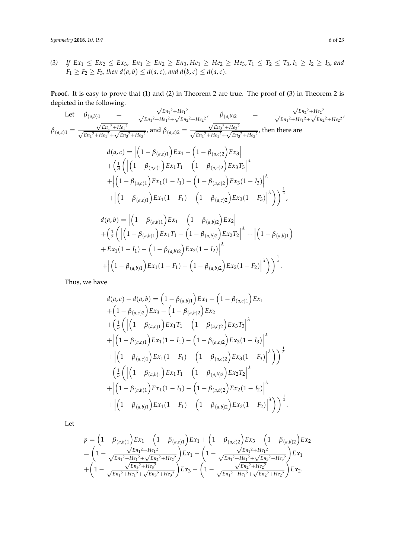*(3) If Ex*<sup>1</sup> ≤ *Ex*<sup>2</sup> ≤ *Ex*3, *En*<sup>1</sup> ≥ *En*<sup>2</sup> ≥ *En*3, *He*<sup>1</sup> ≥ *He*<sup>2</sup> ≥ *He*3, *T*<sup>1</sup> ≤ *T*<sup>2</sup> ≤ *T*3, *I*<sup>1</sup> ≥ *I*<sup>2</sup> ≥ *I*3, *and F*<sub>1</sub>  $\geq$  *F*<sub>2</sub>  $\geq$  *F*<sub>3</sub>*,* then  $d(a, b) \leq d(a, c)$ *, and*  $d(b, c) \leq d(a, c)$ *.* 

**Proof.** It is easy to prove that (1) and (2) in Theorem 2 are true. The proof of (3) in Theorem 2 is depicted in the following. √ √

Let 
$$
\beta_{(a,b)} = \frac{\sqrt{En_1^2 + He_1^2}}{\sqrt{En_1^2 + He_1^2} + \sqrt{En_2^2 + He_2^2}}, \quad \beta_{(a,b)} = \frac{\sqrt{En_2^2 + He_2^2}}{\sqrt{En_1^2 + He_1^2} + \sqrt{En_2^2 + He_2^2}},
$$
  
\n $\beta_{(a,c)} = \frac{\sqrt{En_1^2 + He_1^2}}{\sqrt{En_1^2 + He_1^2} + \sqrt{En_3^2 + He_3^2}},$  and  $\beta_{(a,c)} = \frac{\sqrt{En_1^2 + He_1^2} + \sqrt{En_3^2 + He_2^2}}{\sqrt{En_1^2 + He_1^2} + \sqrt{En_3^2 + He_2^2}},$  then there are  
\n $d(a, c) = |(1 - \beta_{(a,c)1})Ex_1 - (1 - \beta_{(a,c)2})Ex_3|$   
\n $+ \left(\frac{1}{3}(|(1 - \beta_{(a,c)1})Ex_1T_1 - (1 - \beta_{(a,c)2})Ex_3T_3|^{\lambda} + |(1 - \beta_{(a,c)1})Ex_1(1 - I_1) - (1 - \beta_{(a,c)2})Ex_3(1 - I_3)|^{\lambda}\right)$   
\n $+ |(1 - \beta_{(a,c)1})Ex_1(1 - F_1) - (1 - \beta_{(a,c)2})Ex_3(1 - F_3)|^{\lambda}\right)$   
\n $d(a, b) = |(1 - \beta_{(a,b)1})Ex_1 - (1 - \beta_{(a,b)2})Ex_2|$   
\n $+ \left(\frac{1}{3}(|(1 - \beta_{(a,b)1})Ex_1T_1 - (1 - \beta_{(a,b)2})Ex_2T_2|^{\lambda} + |(1 - \beta_{(a,b)1})$   
\n $+ Ex_1(1 - I_1) - (1 - \beta_{(a,b)2})Ex_2(1 - I_2)|^{\lambda}$   
\n $+ |(1 - \beta_{(a,b)1})Ex_1(1 - F_1) - (1 - \beta_{(a,b)2})Ex_2(1 - F_2)|^{\lambda}\right)$ 

Thus, we have

$$
d(a,c) - d(a,b) = (1 - \beta_{(a,b)1})Ex_1 - (1 - \beta_{(a,c)1})Ex_1
$$
  
+ 
$$
(1 - \beta_{(a,c)2})Ex_3 - (1 - \beta_{(a,b)2})Ex_2
$$
  
+ 
$$
(\frac{1}{3}((1 - \beta_{(a,c)1})Ex_1T_1 - (1 - \beta_{(a,c)2})Ex_3T_3)^{\lambda}
$$
  
+ 
$$
|(1 - \beta_{(a,c)1})Ex_1(1 - I_1) - (1 - \beta_{(a,c)2})Ex_3(1 - I_3)|^{\lambda}
$$
  
+ 
$$
|(1 - \beta_{(a,c)1})Ex_1(1 - F_1) - (1 - \beta_{(a,c)2})Ex_3(1 - F_3)|^{\lambda})
$$
  
- 
$$
(\frac{1}{3}((1 - \beta_{(a,b)1})Ex_1T_1 - (1 - \beta_{(a,b)2})Ex_2T_2)^{\lambda}
$$
  
+ 
$$
|(1 - \beta_{(a,b)1})Ex_1(1 - I_1) - (1 - \beta_{(a,b)2})Ex_2(1 - I_2)|^{\lambda}
$$
  
+ 
$$
|(1 - \beta_{(a,b)1})Ex_1(1 - F_1) - (1 - \beta_{(a,b)2})Ex_2(1 - F_2)|^{\lambda})
$$

Let

$$
p = \left(1 - \beta_{(a,b)1}\right)Ex_1 - \left(1 - \beta_{(a,c)1}\right)Ex_1 + \left(1 - \beta_{(a,c)2}\right)Ex_3 - \left(1 - \beta_{(a,b)2}\right)Ex_2
$$
  
= 
$$
\left(1 - \frac{\sqrt{En_1^2 + He_1^2}}{\sqrt{En_1^2 + He_1^2} + \sqrt{En_2^2 + He_2^2}}\right)Ex_1 - \left(1 - \frac{\sqrt{En_1^2 + He_1^2}}{\sqrt{En_1^2 + He_1^2} + \sqrt{En_3^2 + He_3^2}}\right)Ex_1
$$
  
+ 
$$
\left(1 - \frac{\sqrt{En_3^2 + He_3^2}}{\sqrt{En_1^2 + He_1^2} + \sqrt{En_3^2 + He_3^2}}\right)Ex_3 - \left(1 - \frac{\sqrt{En_2^2 + He_2^2}}{\sqrt{En_1^2 + He_1^2} + \sqrt{En_2^2 + He_2^2}}\right)Ex_2.
$$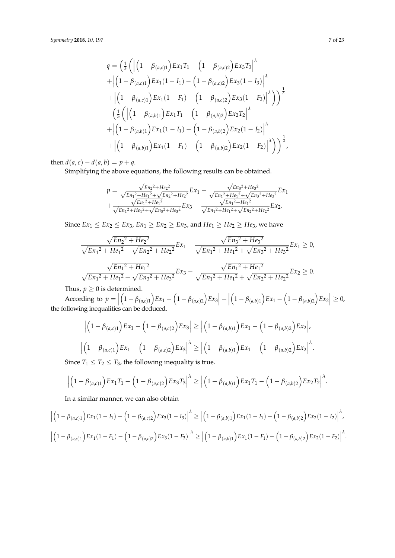$$
q = \left(\frac{1}{3}\left(\left|\left(1-\beta_{(a,c)1}\right)Ex_1T_1 - \left(1-\beta_{(a,c)2}\right)Ex_3T_3\right|\right)^{\lambda} + \left|\left(1-\beta_{(a,c)1}\right)Ex_1(1-I_1) - \left(1-\beta_{(a,c)2}\right)Ex_3(1-I_3)\right|^{\lambda} + \left|\left(1-\beta_{(a,c)1}\right)Ex_1(1-I_1) - \left(1-\beta_{(a,c)2}\right)Ex_3(1-I_3)\right|^{\lambda}\right)\right)^{\frac{1}{\lambda}} - \left(\frac{1}{3}\left(\left|\left(1-\beta_{(a,b)1}\right)Ex_1T_1 - \left(1-\beta_{(a,b)2}\right)Ex_2T_2\right|^{\lambda} + \left|\left(1-\beta_{(a,b)1}\right)Ex_1(1-I_1) - \left(1-\beta_{(a,b)2}\right)Ex_2(1-I_2)\right|^{\lambda} + \left|\left(1-\beta_{(a,b)1}\right)Ex_1(1-I_1) - \left(1-\beta_{(a,b)2}\right)Ex_2(1-I_2)\right|^{\lambda}\right)\right)^{\frac{1}{\lambda}},
$$

then  $d(a, c) - d(a, b) = p + q$ .

Simplifying the above equations, the following results can be obtained.

$$
p = \frac{\sqrt{E_{n_2}^2 + He_2^2}}{\sqrt{E_{n_1}^2 + He_1^2} + \sqrt{E_{n_2}^2 + He_2^2}} E_{x_1} - \frac{\sqrt{E_{n_3}^2 + He_3^2}}{\sqrt{E_{n_1}^2 + He_1^2} + \sqrt{E_{n_3}^2 + He_3^2}} E_{x_1} + \frac{\sqrt{E_{n_1}^2 + He_1^2}}{\sqrt{E_{n_1}^2 + He_1^2} + \sqrt{E_{n_3}^2 + He_3^2}} E_{x_3} - \frac{\sqrt{E_{n_1}^2 + He_1^2}}{\sqrt{E_{n_1}^2 + He_1^2} + \sqrt{E_{n_2}^2 + He_2^2}} E_{x_2}.
$$

Since  $Ex_1 \le Ex_2 \le Ex_3$ ,  $En_1 \ge En_2 \ge En_3$ , and  $He_1 \ge He_2 \ge He_3$ , we have

$$
\frac{\sqrt{E n_2^2 + He_2^2}}{\sqrt{E n_1^2 + He_1^2} + \sqrt{E n_2^2 + He_2^2}} E x_1 - \frac{\sqrt{E n_3^2 + He_3^2}}{\sqrt{E n_1^2 + He_1^2} + \sqrt{E n_3^2 + He_3^2}} E x_1 \ge 0,
$$
  

$$
\frac{\sqrt{E n_1^2 + He_1^2}}{\sqrt{E n_1^2 + He_1^2} + \sqrt{E n_3^2 + He_3^2}} E x_3 - \frac{\sqrt{E n_1^2 + He_1^2}}{\sqrt{E n_1^2 + He_1^2} + \sqrt{E n_2^2 + He_2^2}} E x_2 \ge 0.
$$

Thus,  $p \geq 0$  is determined.

According to  $p = \vert$  $\left(1 - \beta_{(a,c)1}\right) E x_1 - \left(1 - \beta_{(a,c)2}\right) E x_3 - \left(1 - \beta_{(a,c)2}\right)$ According to  $p = \left| \left(1 - \beta_{(a,c)1}\right) E x_1 - \left(1 - \beta_{(a,c)2}\right) E x_3 \right| - \left| \left(1 - \beta_{(a,b)1}\right) E x_1 - \left(1 - \beta_{(a,b)2}\right) E x_2 \right| \ge 0$ , the following inequalities can be deduced.

$$
\left| \left( 1 - \beta_{(a,c)1} \right) E x_1 - \left( 1 - \beta_{(a,c)2} \right) E x_3 \right| \ge \left| \left( 1 - \beta_{(a,b)1} \right) E x_1 - \left( 1 - \beta_{(a,b)2} \right) E x_2 \right|,
$$
  

$$
\left| \left( 1 - \beta_{(a,c)1} \right) E x_1 - \left( 1 - \beta_{(a,c)2} \right) E x_3 \right|^{\lambda} \ge \left| \left( 1 - \beta_{(a,b)1} \right) E x_1 - \left( 1 - \beta_{(a,b)2} \right) E x_2 \right|^{\lambda}.
$$

Since  $T_1 \leq T_2 \leq T_3$ , the following inequality is true.

$$
\left|\left(1-\beta_{(a,c)1}\right)Ex_1T_1-\left(1-\beta_{(a,c)2}\right)Ex_3T_3\right|^{\lambda}\geq \left|\left(1-\beta_{(a,b)1}\right)Ex_1T_1-\left(1-\beta_{(a,b)2}\right)Ex_2T_2\right|^{\lambda}.
$$

In a similar manner, we can also obtain

$$
\left| \left(1 - \beta_{(a,c)1}\right) E x_1 (1 - I_1) - \left(1 - \beta_{(a,c)2}\right) E x_3 (1 - I_3)\right|^{\lambda} \ge \left| \left(1 - \beta_{(a,b)1}\right) E x_1 (1 - I_1) - \left(1 - \beta_{(a,b)2}\right) E x_2 (1 - I_2)\right|^{\lambda},
$$
  

$$
\left| \left(1 - \beta_{(a,c)1}\right) E x_1 (1 - F_1) - \left(1 - \beta_{(a,c)2}\right) E x_3 (1 - F_3)\right|^{\lambda} \ge \left| \left(1 - \beta_{(a,b)1}\right) E x_1 (1 - F_1) - \left(1 - \beta_{(a,b)2}\right) E x_2 (1 - F_2)\right|^{\lambda}.
$$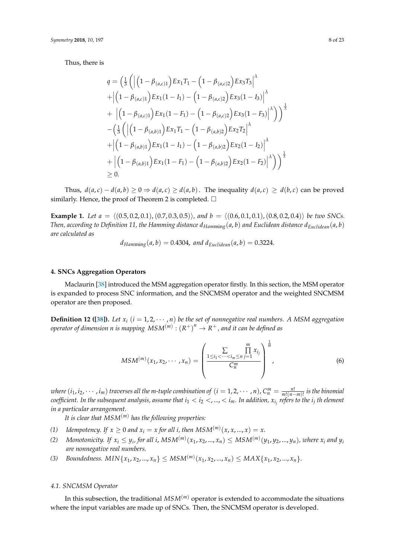Thus, there is

$$
q = \left(\frac{1}{3}\left(\left|\left(1-\beta_{(a,c)1}\right)Ex_1T_1 - \left(1-\beta_{(a,c)2}\right)Ex_3T_3\right|^{\lambda}\right.\right.
$$
  
+ 
$$
\left|\left(1-\beta_{(a,c)1}\right)Ex_1(1-I_1) - \left(1-\beta_{(a,c)2}\right)Ex_3(1-I_3)\right|^{\lambda}
$$
  
+ 
$$
\left|\left(1-\beta_{(a,c)1}\right)Ex_1(1-F_1) - \left(1-\beta_{(a,c)2}\right)Ex_3(1-F_3)\right|^{\lambda}\right)\right\rangle^{\frac{1}{\lambda}}
$$
  
- 
$$
\left(\frac{1}{3}\left(\left|\left(1-\beta_{(a,b)1}\right)Ex_1T_1 - \left(1-\beta_{(a,b)2}\right)Ex_2T_2\right|^{\lambda}
$$
  
+ 
$$
\left|\left(1-\beta_{(a,b)1}\right)Ex_1(1-I_1) - \left(1-\beta_{(a,b)2}\right)Ex_2(1-I_2)\right|^{\lambda}
$$
  
+ 
$$
\left|\left(1-\beta_{(a,b)1}\right)Ex_1(1-F_1) - \left(1-\beta_{(a,b)2}\right)Ex_2(1-F_2)\right|^{\lambda}\right)\right\rangle^{\frac{1}{\lambda}}
$$
  
\ge 0.

Thus,  $d(a, c) - d(a, b) \ge 0 \Rightarrow d(a, c) \ge d(a, b)$ . The inequality  $d(a, c) \ge d(b, c)$  can be proved similarly. Hence, the proof of Theorem 2 is completed.  $\Box$ 

**Example 1.** *Let*  $a = \langle (0.5, 0.2, 0.1), (0.7, 0.3, 0.5) \rangle$ , and  $b = \langle (0.6, 0.1, 0.1), (0.8, 0.2, 0.4) \rangle$  *be two SNCs. Then, according to Definition 11, the Hamming distance*  $d_{Hamming}(a, b)$  and Euclidean distance  $d_{Euclidean}(a, b)$ *are calculated as*

$$
d_{Hamming}(a, b) = 0.4304
$$
, and  $d_{Euclidean}(a, b) = 0.3224$ .

# <span id="page-7-0"></span>**4. SNCs Aggregation Operators**

Maclaurin [\[38\]](#page-21-18) introduced the MSM aggregation operator firstly. In this section, the MSM operator is expanded to process SNC information, and the SNCMSM operator and the weighted SNCMSM operator are then proposed.

**Definition 12 ([\[38\]](#page-21-18)).** *Let*  $x_i$  ( $i = 1, 2, \cdots, n$ ) *be the set of nonnegative real numbers.* A MSM aggregation  $\phi$  *operator of dimension n is mapping*  $MSM^{(m)} : \left( R^+ \right)^n \rightarrow R^+$  *, and it can be defined as* 

$$
MSM^{(m)}(x_1, x_2, \cdots, x_n) = \left(\frac{\sum\limits_{1 \leq i_1 < \cdots < i_m \leq n} \prod\limits_{j=1}^m x_{i_j}}{C_n^m}\right)^{\frac{1}{m}},\tag{6}
$$

where  $(i_1,i_2,\cdots,i_m)$  traverses all the m-tuple combination of  $(i=1,2,\cdots,n)$ ,  $C_n^m=\frac{n!}{m!(n-m)!}$  is the binomial  $\alpha$  coefficient. In the subsequent analysis, assume that  $i_1 < i_2 <,...,< i_m.$  In addition,  $x_{i_j}$  refers to the  $i_j$  th element *in a particular arrangement.*

*It is clear that MSM*(*m*) *has the following properties:*

- *(1) Idempotency. If*  $x \ge 0$  *and*  $x_i = x$  *for all i, then*  $MSM^{(m)}(x, x, ..., x) = x$ .
- (2) Monotonicity. If  $x_i\leq y_i$ , for all i,  $MSM^{(m)}(x_1,x_2,...,x_n)\leq MSM^{(m)}(y_1,y_2,...,y_n)$ , where  $x_i$  and  $y_i$ *are nonnegative real numbers.*
- *(3) Boundedness.*  $MIN\{x_1, x_2, ..., x_n\} \leq MSM^{(m)}(x_1, x_2, ..., x_n) \leq MAX\{x_1, x_2, ..., x_n\}.$

#### *4.1. SNCMSM Operator*

In this subsection, the traditional  $MSM<sup>(m)</sup>$  operator is extended to accommodate the situations where the input variables are made up of SNCs. Then, the SNCMSM operator is developed.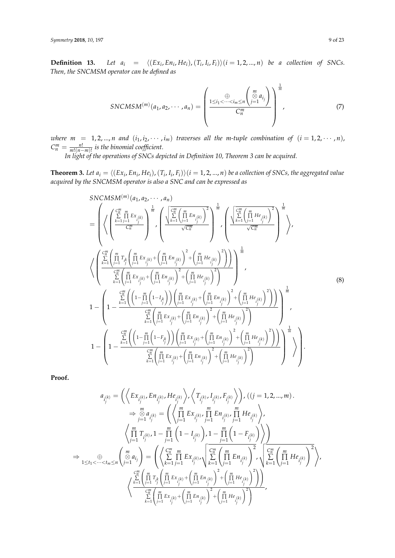**Definition 13.** Let  $a_i = \langle (Ex_i, En_i, He_i), (T_i, I_i, F_i) \rangle (i = 1, 2, ..., n)$  be a collection of SNCs. *Then, the SNCMSM operator can be defined as*

$$
SNCMSM^{(m)}(a_1, a_2, \cdots, a_n) = \left(\frac{1 \leq i_1 < \cdots < i_m \leq n}{C_n^m} \left(\bigotimes_{j=1}^m a_{i_j}\right)\right)^{\frac{1}{m}}, \qquad (7)
$$

*where*  $m = 1, 2, ..., n$  and  $(i_1, i_2, \cdots, i_m)$  traverses all the m-tuple combination of  $(i = 1, 2, \cdots, n)$ ,  $C_n^m = \frac{n!}{m!(n-m)!}$  is the binomial coefficient.

*In light of the operations of SNCs depicted in Definition 10, Theorem 3 can be acquired.*

**Theorem 3.** Let  $a_i = \langle (Ex_i, En_i, He_i), (T_i, I_i, F_i) \rangle (i = 1, 2, ..., n)$  be a collection of SNCs, the aggregated value *acquired by the SNCMSM operator is also a SNC and can be expressed as*

$$
SNCMSM^{(m)}(a_{1}, a_{2}, \dots, a_{n})
$$
\n
$$
= \left( \left\langle \left( \sum_{k=1}^{C_{n}^{m}} \prod_{j=1}^{m} E_{x_{i_{k}}}} \right)^{\frac{1}{m}} \right\rangle \left( \frac{\left\langle \sum_{k=1}^{C_{n}^{m}} \prod_{j=1}^{m} E_{n_{i_{k}}}} \sqrt{C_{n}^{m}} \right)^{2}} \right\rangle^{\frac{1}{m}} \right) \left\langle \left( \frac{\sum_{k=1}^{C_{n}^{m}} \prod_{j=1}^{m} H e_{i_{k}}}{\sqrt{C_{n}^{m}}} \right)^{2} \right\rangle^{\frac{1}{m}}
$$
\n
$$
\left\langle \left( \frac{\sum_{k=1}^{C_{n}^{m}} \prod_{j=1}^{m} T_{i_{j}} \left( \prod_{j=1}^{m} E_{x_{i_{k}}}} \right)^{\frac{1}{m}} \left( \prod_{j=1}^{m} E_{n_{i_{k}}}} \right)^{2} + \left( \prod_{j=1}^{m} H e_{i_{k}}} \right)^{2} \right) \right\rangle^{\frac{1}{m}}
$$
\n
$$
1 - \left( 1 - \frac{\sum_{k=1}^{C_{n}^{m}} \left( \prod_{j=1}^{m} E_{x_{i_{j}}}} \right)^{\frac{1}{m}} \left( 1 - \prod_{j=1}^{m} \left( 1 - I_{i_{j}}} \right) \right) \left( \prod_{j=1}^{m} E_{x_{i_{j}}}} \right)^{2} + \left( \prod_{j=1}^{m} H e_{i_{j}}} \right)^{2} \right) \right) \left\langle \left( \frac{\sum_{j=1}^{C_{n}^{m}} \prod_{j=1}^{m} F_{i_{j}}}{\sum_{j=1}^{C_{n}^{m}} \left( \left( 1 - \prod_{j=1}^{m} \left( 1 - I_{i_{j}}} \right) \right) \left( \prod_{j=1}^{m} E_{x_{i_{j}}}} \right)^{2} + \left( \prod_{j=1}^{m} H e_{i_{j}}} \right)^{2} \right) \right) \right\rangle^{\frac{1}{m}}
$$
\n
$$
1 - \left( 1 - \frac{\sum_{k=1}^{C_{n}^{m}} \left( \left(
$$

**Proof.**

$$
a_{i_j^{(k)}} = \left( \left\langle Ex_{i_j^{(k)}}, En_{i_j^{(k)}}, He_{i_j^{(k)}} \right\rangle, \left\langle T_{i_j^{(k)}}, I_{i_j^{(k)}}, F_{i_j^{(k)}} \right\rangle \right), ((j = 1, 2, ..., m)).
$$
  
\n
$$
\Rightarrow \sum_{j=1}^{m} a_{i_j^{(k)}} = \left( \left\langle \prod_{j=1}^{m} Ex_{i_j^{(k)}}, \prod_{j=1}^{m} En_{i_j^{(k)}}, \prod_{j=1}^{m} He_{i_j^{(k)}} \right\rangle,
$$
  
\n
$$
\left\langle \prod_{j=1}^{m} T_{i_j^{(k)}}, 1 - \prod_{j=1}^{m} \left( 1 - I_{i_j^{(k)}} \right), 1 - \prod_{j=1}^{m} \left( 1 - F_{i_j^{(k)}} \right) \right\rangle \right)
$$
  
\n
$$
\Rightarrow \bigoplus_{1 \le t_1 < \dots < t_m \le n} \left( \sum_{j=1}^{m} a_{i_j} \right) = \left( \left\langle \sum_{k=1}^{m} \prod_{j=1}^{m} Ex_{i_j^{(k)}}, \left\langle \sum_{k=1}^{m} \left( \prod_{j=1}^{m} En_{i_j^{(k)}} \right)^2, \left\langle \sum_{k=1}^{m} \left( \prod_{j=1}^{m} He_{i_j^{(k)}} \right)^2 \right\rangle \right\rangle,
$$
  
\n
$$
\left\langle \sum_{k=1}^{m} \left( \prod_{j=1}^{m} T_{i_j^{(k)}} \prod_{j=1}^{m} Ex_{i_j^{(k)}} + \left( \prod_{j=1}^{m} En_{i_j^{(k)}} \right)^2 + \left( \prod_{j=1}^{m} He_{i_j^{(k)}} \right)^2 \right) \right\rangle
$$
  
\n
$$
\left\langle \sum_{k=1}^{m} \left( \prod_{j=1}^{m} Ex_{i_j^{(k)}} + \left( \prod_{j=1}^{m} En_{i_j^{(k)}} \right)^2 + \left( \prod_{j=1}^{m} He_{i_j^{(k)}} \right)^2 \right\rangle
$$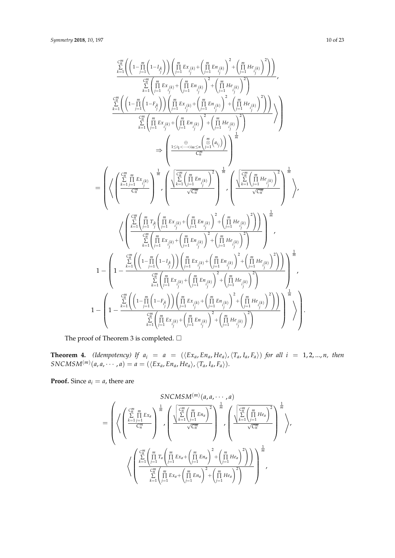$$
\sum_{k=1}^{\frac{C_{n}^{\prime\prime}}{2}} \left( \left(1-\frac{m}{j-1}\left(1-I_{\frac{\ell}{j}}\right)\right) \left(\prod_{j=1}^{m} Ex_{i_{j}(k)} + \left(\prod_{j=1}^{m} En_{i_{j}(k)}\right)^{2} + \left(\prod_{j=1}^{m} He_{i_{j}(k)}\right)^{2}\right) \right) \times \sum_{k=1}^{\frac{C_{n}^{\prime\prime}}{2}} \left( \prod_{j=1}^{m} Ex_{i_{j}(k)} + \left(\prod_{j=1}^{m} En_{i_{j}(k)}\right)^{2} + \left(\prod_{j=1}^{m} He_{i_{j}(k)}\right)^{2}\right) \times \sum_{k=1}^{\frac{C_{n}^{\prime\prime}}{2}} \left( \left(1-\prod_{j=1}^{m} \left(1-F_{\frac{\ell}{j}}\right)\right) \left(\prod_{j=1}^{m} Ex_{i_{j}(k)} + \left(\prod_{j=1}^{m} En_{i_{j}(k)}\right)^{2} + \left(\prod_{j=1}^{m} He_{i_{j}(k)}\right)^{2}\right) \right) \times \sum_{k=1}^{\frac{C_{n}^{\prime\prime}}{2}} \left( \prod_{j=1}^{m} Ex_{i_{j}(k)} + \left(\prod_{j=1}^{m} En_{i_{j}(k)}\right)^{2} + \left(\prod_{j=1}^{m} He_{i_{j}(k)}\right)^{2}\right) \right) \times \sum_{k=1}^{\frac{C_{n}^{\prime\prime}}{2}} \left( \frac{\prod_{j=1}^{m} Ex_{i_{j}(k)} + \left(\prod_{j=1}^{m} En_{i_{j}(k)}\right)^{2} + \left(\prod_{j=1}^{m} He_{i_{j}(k)}\right)^{2}\right) \times \sum_{k=1}^{\frac{C_{n}^{\prime\prime}}{2}} \left( \frac{\sum_{k=1}^{m} \left(\prod_{j=1}^{m} Ex_{i_{j}(k)} + \left(\prod_{j=1}^{m} Ex_{i_{j}(k)}\right)^{2} + \left(\prod_{j=1}^{m} He_{i_{j}(k)}\right)^{2}\right) \right) \times \sum_{k=1}^{\frac{C_{n}^{\prime\prime}}{2}} \left( \left(\frac{\sum_{k=1}^{m} \left(\prod_{j=
$$

The proof of Theorem 3 is completed.  $\Box$ 

**Theorem 4.** (Idempotency) If  $a_i = a = (\langle Ex_a, En_a, He_a \rangle, \langle T_a, I_a, F_a \rangle)$  for all  $i = 1, 2, ..., n$ , then  $SNCMSM<sup>(m)</sup>(a, a, \dots, a) = a = (\langle Ex_a, En_a, He_a \rangle, \langle T_a, I_a, F_a \rangle).$ 

**Proof.** Since  $a_i = a$ , there are

$$
= \left(\left\langle \left(\frac{C_1^m}{\sum\limits_{k=1}^m \prod\limits_{j=1}^m Ex_a}\right)^{\frac{1}{m}} , \left(\frac{\sqrt{\sum\limits_{k=1}^{C_1^m} \left(\prod\limits_{j=1}^m Ex_a}\right)^2}{\sqrt{C_1^m}}\right)^{\frac{1}{m}} , \left(\frac{\sqrt{\sum\limits_{k=1}^{C_1^m} \left(\prod\limits_{j=1}^m Ex_a}\right)^2}{\sqrt{C_1^m}}\right)^{\frac{1}{m}} , \left(\frac{\sqrt{\sum\limits_{k=1}^{C_1^m} \left(\prod\limits_{j=1}^m He_a}\right)^2}}{\sqrt{C_1^m}}\right)^{\frac{1}{m}} \right\rangle \right)
$$
\n
$$
\left\langle \left(\frac{\sum\limits_{k=1}^{C_1^m} \left(\prod\limits_{j=1}^m Tx_a\left(\prod\limits_{j=1}^m Ex_a+\left(\prod\limits_{j=1}^m E_a\right)^2 + \left(\prod\limits_{j=1}^m He_a\right)^2\right)}{\sum\limits_{k=1}^{C_1^m} \left(\prod\limits_{j=1}^m Ex_a+\left(\prod\limits_{j=1}^m Ex_a\right)^2 + \left(\prod\limits_{j=1}^m He_a\right)^2\right)}\right)^{\frac{1}{m}} \right\}
$$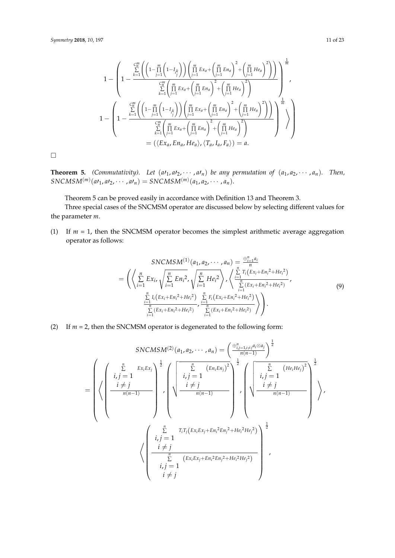$$
1 - \left(1 - \frac{\sum\limits_{k=1}^{C_n^m} \left( \left(1 - \prod\limits_{j=1}^m \left(1 - I_{i_j^k}\right)\right) \left(\prod\limits_{j=1}^m Ex_a + \left(\prod\limits_{j=1}^m E_{n_a}\right)^2 + \left(\prod\limits_{j=1}^m He_a\right)^2 \right) \right)}{\sum\limits_{k=1}^{C_n^m} \left(\prod\limits_{j=1}^m Ex_a + \left(\prod\limits_{j=1}^m Ex_a\right)^2 + \left(\prod\limits_{j=1}^m He_a\right)^2 \right)} \right)^{\frac{1}{m}},
$$
\n
$$
1 - \left(1 - \frac{\sum\limits_{k=1}^{C_n^m} \left( \left(1 - \prod\limits_{j=1}^m \left(1 - I_{i_j^k}\right)\right) \left(\prod\limits_{j=1}^m Ex_a + \left(\prod\limits_{j=1}^m E_{n_a}\right)^2 + \left(\prod\limits_{j=1}^m He_a\right)^2 \right) \right)}{\sum\limits_{k=1}^{C_n^m} \left(\prod\limits_{j=1}^m Ex_a + \left(\prod\limits_{j=1}^m E_{n_a}\right)^2 + \left(\prod\limits_{j=1}^m He_a\right)^2 \right)} \right) \right)^\frac{1}{m}} \right) = (\langle Ex_a, En_a, He_a\rangle, \langle T_a, I_a, F_a \rangle) = a.
$$

 $\Box$ 

**Theorem 5.** *(Commutativity). Let*  $(a_1, a_2, \dots, a_n)$  *be any permutation of*  $(a_1, a_2, \dots, a_n)$ *. Then,*  $SNCMSM^{(m)}(a_1, a_2, \cdots, a_n) = SNCMSM^{(m)}(a_1, a_2, \cdots, a_n).$ 

Theorem 5 can be proved easily in accordance with Definition 13 and Theorem 3.

Three special cases of the SNCMSM operator are discussed below by selecting different values for the parameter *m*.

(1) If *m* = 1, then the SNCMSM operator becomes the simplest arithmetic average aggregation operator as follows:

$$
SNCMSM^{(1)}(a_1, a_2, \cdots, a_n) = \frac{\bigoplus_{i=1}^{n} a_i}{n}
$$
\n
$$
= \left( \left\langle \sum_{i=1}^{n} E x_{i}, \sqrt{\sum_{i=1}^{n} E n_i^2}, \sqrt{\sum_{i=1}^{n} He_i^2} \right\rangle, \left\langle \frac{\sum_{i=1}^{n} T_i (E x_i + E n_i^2 + He_i^2)}{\sum_{i=1}^{n} (E x_i + E n_i^2 + He_i^2)} \right\rangle
$$
\n
$$
= \frac{\sum_{i=1}^{n} I_i (E x_i + E n_i^2 + He_i^2)}{\sum_{i=1}^{n} (E x_i + E n_i^2 + He_i^2)} \right).
$$
\n(9)

(2) If *m* = 2, then the SNCMSM operator is degenerated to the following form:

$$
SNCMSM^{(2)}(a_1, a_2, \dots, a_n) = \left(\frac{\bigoplus_{i,j=1, i\neq j}^{n} a_i \otimes a_j}{n(n-1)}\right)^{\frac{1}{2}}
$$
  
\n
$$
= \left(\left\langle \left(\frac{\sum_{i,j=1}^{n} Ex_iEx_j}{i,j=1}\right) \right|, \left\langle \left(\frac{\sum_{i,j=1}^{n} (En_iEn_j)^2}{i,j=1}\right) \right|, \left\langle \left(\frac{\sum_{i,j=1}^{n} (He_iHe_j)^2}{i,j=1}\right) \right|, \left\langle \left(\frac{\sum_{i,j=1}^{n} Tr_i(F_{i}Ex_iE_{i}+En_i^2E_{i}^2) + He_i^2He_j^2}{n(n-1)}\right) \right|, \left\langle \left(\frac{\sum_{i,j=1}^{n} Tr_i(F_{i}Ex_iE_{i}+En_i^2E_{i}^2) + He_i^2He_j^2}{i,j=1}\right) \right|, \left\langle \left(\frac{\sum_{i,j=1}^{n} (Ex_iEx_i + En_i^2E_{i}^2) + He_i^2He_i^2}{\sum_{i,j=1}^{n} (Ex_iEx_i + En_i^2E_{i}^2) + He_i^2He_i^2}\right) \right|, \left\langle \left(\frac{\sum_{i,j=1}^{n} (Ex_iEx_i + En_i^2E_{i}^2) + He_i^2He_i^2}{i,j=1}\right) \right|, \left\langle \left(\frac{\sum_{i,j=1}^{n} (Ex_iEx_i + En_i^2E_{i}^2) + He_i^2He_i^2}{i+j=1}\right) \right|, \left\langle \left(\frac{\sum_{i,j=1}^{n} (Ex_iEx_i + En_i^2E_{i}^2) + He_i^2He_i^2}{i+j=1}\right) \right|, \left\langle \left(\frac{\sum_{i,j=1}^{n} (Ex_iEx_i + En_i^2E_{i}^2) + He_i^2He_i^2}{i+j=1}\right) \right|, \left\langle \left(\frac{\sum_{i,j=1}^{n} (Ex_iEx_i + En_i^2E_{i}^2) + He_i^2He_i^2}{i+j=1}\right) \right|, \left\langle \left(\frac{\sum_{i,j=1}^{n} (Ex_iEx_i + En_i^2E_{i}^2) + He_i^2He_i^2}{i+j=1}\right) \right|, \left\
$$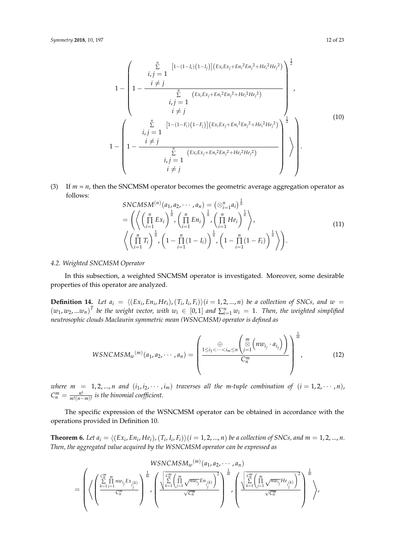$$
1 - \left( \begin{array}{c} \sum_{i,j=1}^{n} \left[ 1 - (1 - I_{i})(1 - I_{j}) \right] \left( Ex_{i}Ex_{j} + En_{i}^{2}En_{j}^{2} + He_{i}^{2}He_{j}^{2} \right) \right)^{\frac{1}{2}} \\ 1 - \frac{i \neq j}{\sum_{i,j=1}^{n} \left( Ex_{i}Ex_{j} + En_{i}^{2}En_{j}^{2} + He_{i}^{2}He_{j}^{2} \right)} \\ i,j = 1 \\ i \neq j \\ 1 - \left( \begin{array}{c} \sum_{i,j=1}^{n} \left[ 1 - (1 - F_{i})(1 - F_{j}) \right] \left( Ex_{i}Ex_{j} + En_{i}^{2}En_{j}^{2} + He_{i}^{2}He_{j}^{2} \right) \right)^{\frac{1}{2}} \\ i,j = 1 \\ \sum_{i,j=1}^{n} \left( Ex_{i}Ex_{j} + En_{i}^{2}En_{j}^{2} + He_{i}^{2}He_{j}^{2} \right) \right) \\ i,j = 1 \\ i \neq j \end{array} \right) \right). \tag{10}
$$

(3) If  $m = n$ , then the SNCMSM operator becomes the geometric average aggregation operator as follows:

$$
SNCMSM^{(n)}(a_1, a_2, \cdots, a_n) = (\otimes_{i=1}^n a_i)^{\frac{1}{n}} \n= \left( \left\langle \left( \prod_{i=1}^n Ex_i \right)^{\frac{1}{n}}, \left( \prod_{i=1}^n En_i \right)^{\frac{1}{n}}, \left( \prod_{i=1}^n He_i \right)^{\frac{1}{n}} \right\rangle, \n\left\langle \left( \prod_{i=1}^n T_i \right)^{\frac{1}{n}}, \left( 1 - \prod_{i=1}^n (1 - I_i) \right)^{\frac{1}{n}}, \left( 1 - \prod_{i=1}^n (1 - F_i) \right)^{\frac{1}{n}} \right\rangle \right).
$$
\n(11)

# *4.2. Weighted SNCMSM Operator*

In this subsection, a weighted SNCMSM operator is investigated. Moreover, some desirable properties of this operator are analyzed.

**Definition 14.** Let  $a_i = \langle (Ex_i, En_i, He_i), (T_i, I_i, F_i) \rangle (i = 1, 2, ..., n)$  be a collection of SNCs, and  $w =$  $(w_1, w_2, ... w_n)^T$  be the weight vector, with  $w_i \in [0, 1]$  and  $\sum_{i=1}^n w_i = 1$ . Then, the weighted simplified *neutrosophic clouds Maclaurin symmetric mean (WSNCMSM) operator is defined as*

$$
WSNCMSM_w^{(m)}(a_1, a_2, \cdots, a_n) = \left(\frac{\bigoplus \limits_{1 \leq i_1 < \cdots < i_m \leq n} \left(\bigotimes \limits_{j=1}^m \left(nw_{i_j} \cdot a_{i_j}\right)\right)}{C_n^m}\right)^{\frac{1}{m}},\tag{12}
$$

*where*  $m = 1, 2, ..., n$  and  $(i_1, i_2, \cdots, i_m)$  traverses all the m-tuple combination of  $(i = 1, 2, \cdots, n)$ ,  $C_n^m = \frac{n!}{m!(n-m)!}$  is the binomial coefficient.

The specific expression of the WSNCMSM operator can be obtained in accordance with the operations provided in Definition 10.

**Theorem 6.** Let  $a_i = \langle (Ex_i, En_i, He_i), (T_i, I_i, F_i) \rangle (i = 1, 2, ..., n)$  be a collection of SNCs, and  $m = 1, 2, ..., n$ . *Then, the aggregated value acquired by the WSNCMSM operator can be expressed as*

$$
WSNCMSM_w^{(m)}(a_1, a_2, \cdots, a_n)
$$
\n
$$
= \left(\left\langle \left(\frac{\sum\limits_{k=1}^{C_n^m} \prod\limits_{j=1}^m n w_{i_j} E x_{i_j(k)}}{C_n^m}\right)^{\frac{1}{m}} , \left(\frac{\sqrt{\sum\limits_{k=1}^{C_n^m} \left(\prod\limits_{j=1}^m \sqrt{n w_{i_j}} E n_{i_j(k)}}\right)^2}}{\sqrt{C_n^m}}\right)^{\frac{1}{m}} , \left(\frac{\sqrt{\sum\limits_{k=1}^{C_n^m} \left(\prod\limits_{j=1}^m \sqrt{n w_{i_j}} H e_{i_j(k)}}\right)^2}}{\sqrt{C_n^m}}\right)^{\frac{1}{m}} \right\rangle \right)
$$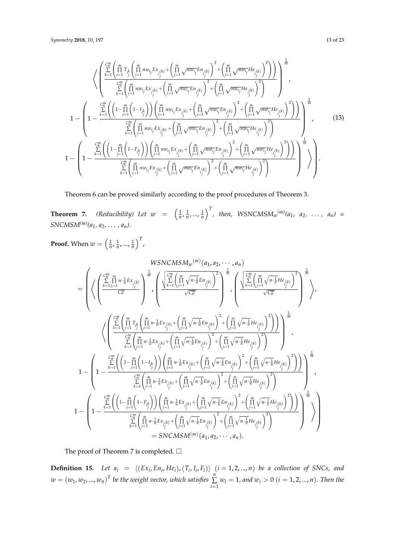$$
\left\{\n\begin{pmatrix}\n\sum_{k=1}^{C_{m}^{m}}\left(\prod_{j=1}^{m} T_{ik}\left(\prod_{j=1}^{m} n w_{ij} E x_{i(k)} + \left(\prod_{j=1}^{m} \sqrt{n w_{ij}} E n_{i(k)}\right)^{2} + \left(\prod_{j=1}^{m} \sqrt{n w_{ij}} H e_{i(k)}\right)^{2}\right)\n\end{pmatrix}\n\right)^{\frac{1}{m}}\n\right\}
$$
\n
$$
1 - \left(\n1 - \frac{\sum_{k=1}^{C_{m}^{m}}\left(\left(1 - \prod_{j=1}^{m} \left(1 - I_{ik}\right)\right)\left(\prod_{j=1}^{m} n w_{ij} E x_{i(k)} + \left(\prod_{j=1}^{m} \sqrt{n w_{ij}} E n_{i(k)}\right)^{2} + \left(\prod_{j=1}^{m} \sqrt{n w_{ij}} H e_{i(k)}\right)^{2}\right)\n\right)^{\frac{1}{m}}}{\sum_{k=1}^{C_{m}^{m}}\left(\prod_{j=1}^{m} \left(1 - I_{ik}\right)\right)\left(\prod_{j=1}^{m} n w_{ij} E x_{i(k)} + \left(\prod_{j=1}^{m} \sqrt{n w_{ij}} E n_{i(k)}\right)^{2} + \left(\prod_{j=1}^{m} \sqrt{n w_{ij}} H e_{i(k)}\right)^{2}\right)\n\right)^{\frac{1}{m}}},\n(13)
$$
\n
$$
1 - \left(\n1 - \frac{\sum_{k=1}^{C_{m}^{m}}\left(\left(1 - \prod_{j=1}^{m} \left(1 - F_{ik}\right)\right)\left(\prod_{j=1}^{m} n w_{ij} E x_{i(k)} + \left(\prod_{j=1}^{m} \sqrt{n w_{ij}} E n_{i(k)}\right)^{2} + \left(\prod_{j=1}^{m} \sqrt{n w_{ij}} H e_{i(k)}\right)^{2}\right)\n\right)^{\frac{1}{m}}},\n(14)
$$
\n
$$
1 - \left(\n1 - \frac{\sum_{k=1}^{C_{m}^{m}}\left(\left(1 - \prod_{j=1}^{m} \left(1 - F_{ik}\right)\right)\left(\prod_{j=1}^{m} n w_{ij} E x_{i(k)} + \left(\prod_{j=1}^{m} \sqrt{n w_{ij}} E n_{i(k)}\right)^{2} + \left(\prod_{j
$$

Theorem 6 can be proved similarly according to the proof procedures of Theorem 3.

**Theorem 7.** (Reducibility) Let  $w = \left(\frac{1}{n}, \frac{1}{n}, ..., \frac{1}{n}\right)^T$ , then, WSNCMS $M_w^{(m)}(a_1, a_2, ..., a_n)$ *SNCMSM*<sup> $(m)$ </sup> $(a_1, a_2, \ldots, a_n)$ .

**Proof.** When  $w = \left(\frac{1}{n}, \frac{1}{n}, ..., \frac{1}{n}\right)^T$ ,

$$
\mathcal{L}\left\{\left(\sum_{k=1}^{C_{n}^{H}}\prod_{j=1}^{m} n \cdot \frac{1}{n} E x_{i_{j}^{(k)}}}{C_{n}^{m}}\right)^{\frac{1}{m}} , \left(\frac{\sum_{k=1}^{C_{n}^{H}}\prod_{j=1}^{m} \sqrt{n \cdot \frac{1}{n} E n_{i_{j}^{(k)}}}{\sqrt{C_{n}^{m}}}\right)^{2}} {\sqrt{n}} \right\} , \left(\frac{\sum_{k=1}^{C_{n}^{H}}\prod_{j=1}^{m} \sqrt{n \cdot \frac{1}{n} E n_{i_{j}^{(k)}}}{\sqrt{C_{n}^{m}}}}{\sqrt{C_{n}^{m}}}\right)^{2} , \left(\frac{\sum_{k=1}^{C_{n}^{H}}\left(\prod_{j=1}^{m} \sqrt{n \cdot \frac{1}{n} E n_{i_{j}^{(k)}}}\right)^{2}}{\sqrt{C_{n}^{m}}}\right)^{\frac{1}{m}} , \left(\frac{\sum_{k=1}^{C_{n}^{H}}\left(\prod_{j=1}^{m} \sqrt{n \cdot \frac{1}{n} E n_{i_{j}^{(k)}}}\right)^{2}}{\sqrt{C_{n}^{m}}}\right)^{\frac{1}{m}} , \left(\frac{\sum_{k=1}^{C_{n}^{H}}\left(\prod_{j=1}^{m} \frac{1}{n} E x_{i_{j}^{(k)}} + \left(\prod_{j=1}^{m} \sqrt{n \cdot \frac{1}{n} E n_{i_{j}^{(k)}}}\right)^{2} + \left(\prod_{j=1}^{m} \sqrt{n \cdot \frac{1}{n} E n_{i_{j}^{(k)}}}\right)^{2}\right)}{\sum_{k=1}^{C_{n}^{H}}\left(\prod_{j=1}^{m} \frac{1}{n} E x_{i_{j}^{(k)}} + \left(\prod_{j=1}^{m} \sqrt{n \cdot \frac{1}{n} E n_{i_{j}^{(k)}}}\right)^{2} + \left(\prod_{j=1}^{m} \sqrt{n \cdot \frac{1}{n} E n_{i_{j}^{(k)}}}\right)^{2}\right)} \right)^{\frac{1}{m}},
$$
\n
$$
1 - \left(1 - \frac{\sum_{k=1}^{C_{n}^{H}}\left(\left(1 - \prod_{j=1}^{m}\left(1 - L_{j_{j}^{k}}\right)\right)\left(\prod_{j=1}^{m} \frac{1}{n} E
$$

The proof of Theorem 7 is completed.  $\square$ 

**Definition 15.** Let  $a_i = \langle (Ex_i, En_i, He_i), (T_i, I_i, F_i) \rangle$   $(i = 1, 2, ..., n)$  be a collection of SNCs, and  $w = \left(w_1, w_2, ..., w_n\right)^T$  be the weight vector, which satisfies  $\sum^{n}$  $\sum_{i=1}^{n} w_i = 1$ , and  $w_i > 0$  (*i* = 1, 2, ..., *n*). Then the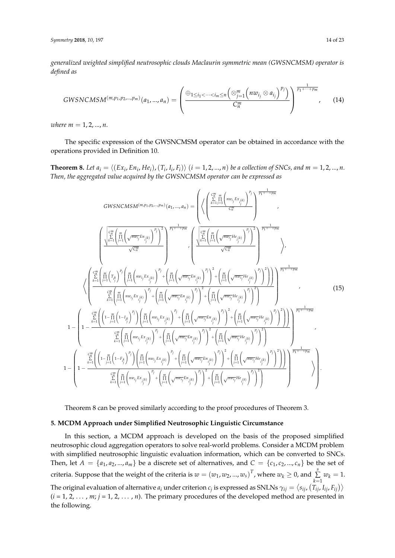*generalized weighted simplified neutrosophic clouds Maclaurin symmetric mean (GWSNCMSM) operator is defined as*

$$
GWSNCMSM^{(m,p_1,p_2,...,p_m)}(a_1,...,a_n)=\left(\frac{\oplus_{1\leq i_1<\cdots
$$

*where*  $m = 1, 2, ..., n$ .

1 −

The specific expression of the GWSNCMSM operator can be obtained in accordance with the operations provided in Definition 10.

**Theorem 8.** Let  $a_i = \langle (Ex_i, En_i, He_i), (T_i, I_i, F_i) \rangle$   $(i = 1, 2, ..., n)$  be a collection of SNCs, and  $m = 1, 2, ..., n$ . *Then, the aggregated value acquired by the GWSNCMSM operator can be expressed as*

GWSNCMSM<sup>(m,p\_1,p\_2,...,p\_m)</sup> 
$$
(a_1,..., a_n)
$$
 = 
$$
\left( \left\langle \left( \frac{\sum_{k=1}^{m} \prod_{j=1}^{m} \left( \frac{mv_{ij}E_{x_{ij,k}}}{C_n^m} \right)^{p_j}}{\sum_{j=1,...,p_m}^{m}} \right) \frac{\frac{1}{p_1 + ... + p_m}}{\sqrt{C_n^m}} \right\rangle
$$

$$
\left\langle \frac{\frac{\sum_{k=1}^{m} \left( \prod_{j=1}^{m} \left( \sqrt{mv_{ij}}E_{x_{ij,k}}\right)^{p_j}}{\sqrt{C_n^m}} \right)^{p_j}}{\sqrt{C_n^m}} \right\rangle^{p_j}}{\sqrt{C_n^m}} \right\rangle^{p_j}
$$

$$
\times \left\langle \frac{\frac{\sum_{k=1}^{m} \left( \prod_{j=1}^{m} \left( \sqrt{mv_{ij}}E_{x_{ij,k}}\right)^{p_j}}{\sum_{j=1}^{m} \left( \prod_{j=1}^{m} \left( \sqrt{mv_{ij}}E_{x_{ij,k}}\right)^{p_j}} \right)^{p_j}}{\sum_{k=1}^{m} \left( \prod_{j=1}^{m} \left( \sqrt{mv_{ij}}E_{x_{ij,k}}\right)^{p_j} \right)^{p_j}} \right\rangle^{p_j}
$$

$$
1 - \left( 1 - \frac{\sum_{k=1}^{m} \left( \prod_{j=1}^{m} \left( \prod_{j=1}^{m} \left( \prod_{j=1}^{m} \left( \sqrt{mv_{ij}}E_{x_{ij,k}}\right)^{p_j} \right)^{p_j} + \left( \prod_{j=1}^{m} \left( \sqrt{mv_{ij}}E_{x_{ij,k}}\right)^{p_j} \right)^{p_j}}{\sum_{j=1}^{m} \left( \prod_{j=1}^{m} \left( \sqrt{mv_{ij}}E_{x_{ij,k}}\right)^{p_j} \right)^{p_j}} \right)^{p_j}
$$

$$
1 - \left( 1 - \frac{\sum_{k=1}^{m} \left( \left( 1 - \prod_{j=1}^{m} \left( 1 - I_{k}^{k} \right)^{p_j} \right)^{p_j} \right) \prod_{j=1}^{m} \left( \prod_{j=1}^{m} \left( \sqrt{mv_{ij}}E_{x_{ij,k}}\right)^{p_j} \right)^
$$

Theorem 8 can be proved similarly according to the proof procedures of Theorem 3.

# <span id="page-13-0"></span>**5. MCDM Approach under Simplified Neutrosophic Linguistic Circumstance**

In this section, a MCDM approach is developed on the basis of the proposed simplified neutrosophic cloud aggregation operators to solve real-world problems. Consider a MCDM problem with simplified neutrosophic linguistic evaluation information, which can be converted to SNCs. Then, let  $A = \{a_1, a_2, ..., a_m\}$  be a discrete set of alternatives, and  $C = \{c_1, c_2, ..., c_n\}$  be the set of criteria. Suppose that the weight of the criteria is  $w = (w_1, w_2, ..., w_s)^T$ , where  $w_k \ge 0$ , and  $\sum$  $\sum_{k=1}^{\infty} w_k = 1.$ The original evaluation of alternative  $a_i$  under criterion  $c_j$  is expressed as SNLNs  $\gamma_{ij}=\langle s_{ij}$ ,  $(T_{ij}$ ,  $I_{ij}$ ,  $F_{ij})\rangle$  $(i = 1, 2, \ldots, m; j = 1, 2, \ldots, n)$ . The primary procedures of the developed method are presented in the following.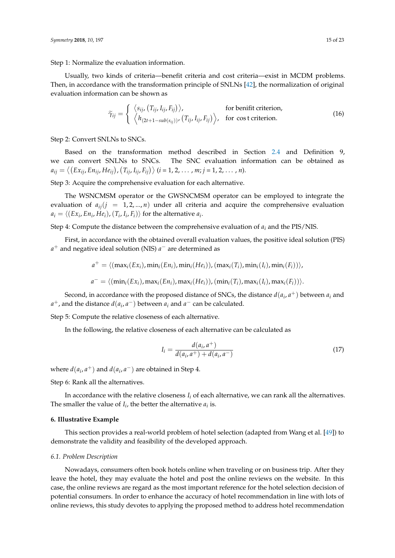Step 1: Normalize the evaluation information.

Usually, two kinds of criteria—benefit criteria and cost criteria—exist in MCDM problems. Then, in accordance with the transformation principle of SNLNs [\[42\]](#page-22-6), the normalization of original evaluation information can be shown as

$$
\widetilde{\gamma}_{ij} = \begin{cases}\n\langle s_{ij}, (T_{ij}, I_{ij}, F_{ij}) \rangle, & \text{for benefit criterion,} \\
\langle h_{(2t+1-sub(s_{ij}))}, (T_{ij}, I_{ij}, F_{ij}) \rangle, & \text{for cost criterion.}\n\end{cases}
$$
\n(16)

Step 2: Convert SNLNs to SNCs.

Based on the transformation method described in Section [2.4](#page-3-1) and Definition 9, we can convert SNLNs to SNCs. The SNC evaluation information can be obtained as  $a_{ij} = \langle (Ex_{ij}, En_{ij}, He_{ij}), (T_{ij}, I_{ij}, F_{ij}) \rangle$  (*i* = 1, 2, ..., *m*; *j* = 1, 2, ..., *n*).

Step 3: Acquire the comprehensive evaluation for each alternative.

The WSNCMSM operator or the GWSNCMSM operator can be employed to integrate the evaluation of  $a_{ij}(j = 1, 2, ..., n)$  under all criteria and acquire the comprehensive evaluation  $a_i = \langle (Ex_i, En_i, He_i), (T_i, I_i, F_i) \rangle$  for the alternative  $a_i$ .

Step 4: Compute the distance between the comprehensive evaluation of *a<sup>i</sup>* and the PIS/NIS.

First, in accordance with the obtained overall evaluation values, the positive ideal solution (PIS) *a* <sup>+</sup> and negative ideal solution (NIS) *a* <sup>−</sup> are determined as

$$
a^{+} = \langle (\max_{i}(Ex_{i}), \min_{i}(En_{i}), \min_{i}(He_{i})), (\max_{i}(T_{i}), \min_{i}(I_{i}), \min_{i}(F_{i}))) \rangle,
$$
  

$$
a^{-} = \langle (\min_{i}(Ex_{i}), \max_{i}(En_{i}), \max_{i}(He_{i})), (\min_{i}(T_{i}), \max_{i}(I_{i}), \max_{i}(F_{i}))) \rangle.
$$

Second, in accordance with the proposed distance of SNCs, the distance  $d(a_i, a^+)$  between  $a_i$  and  $a^+$ , and the distance  $d(a_i, a^-)$  between  $a_i$  and  $a^-$  can be calculated.

Step 5: Compute the relative closeness of each alternative.

In the following, the relative closeness of each alternative can be calculated as

$$
I_i = \frac{d(a_i, a^+)}{d(a_i, a^+) + d(a_i, a^-)}
$$
(17)

where  $d(a_i, a^+)$  and  $d(a_i, a^-)$  are obtained in Step 4.

Step 6: Rank all the alternatives.

In accordance with the relative closeness  $I_i$  of each alternative, we can rank all the alternatives. The smaller the value of  $I_i$ , the better the alternative  $a_i$  is.

# <span id="page-14-0"></span>**6. Illustrative Example**

This section provides a real-world problem of hotel selection (adapted from Wang et al. [\[49\]](#page-22-7)) to demonstrate the validity and feasibility of the developed approach.

#### *6.1. Problem Description*

Nowadays, consumers often book hotels online when traveling or on business trip. After they leave the hotel, they may evaluate the hotel and post the online reviews on the website. In this case, the online reviews are regard as the most important reference for the hotel selection decision of potential consumers. In order to enhance the accuracy of hotel recommendation in line with lots of online reviews, this study devotes to applying the proposed method to address hotel recommendation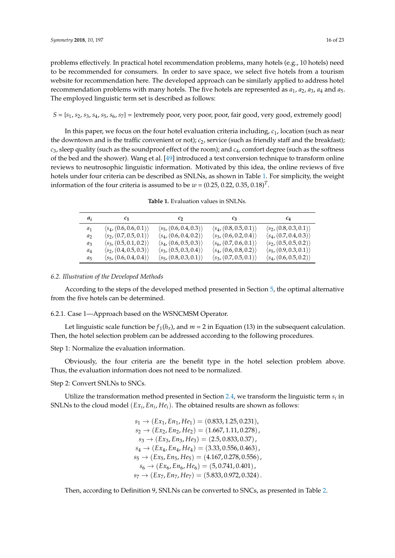problems effectively. In practical hotel recommendation problems, many hotels (e.g., 10 hotels) need to be recommended for consumers. In order to save space, we select five hotels from a tourism website for recommendation here. The developed approach can be similarly applied to address hotel recommendation problems with many hotels. The five hotels are represented as *a*1, *a*2, *a*3, *a*<sup>4</sup> and *a*5. The employed linguistic term set is described as follows:

 $S = \{s_1, s_2, s_3, s_4, s_5, s_6, s_7\} = \{extremely poor, very poor, favor, fair good, very good, extremely good\}$ 

In this paper, we focus on the four hotel evaluation criteria including, *c*1, location (such as near the downtown and is the traffic convenient or not);  $c_2$ , service (such as friendly staff and the breakfast); *c*3, sleep quality (such as the soundproof effect of the room); and *c*4, comfort degree (such as the softness of the bed and the shower). Wang et al. [\[49\]](#page-22-7) introduced a text conversion technique to transform online reviews to neutrosophic linguistic information. Motivated by this idea, the online reviews of five hotels under four criteria can be described as SNLNs, as shown in Table [1.](#page-15-0) For simplicity, the weight information of the four criteria is assumed to be  $w = (0.25, 0.22, 0.35, 0.18)^T$ .

**Table 1.** Evaluation values in SNLNs.

<span id="page-15-0"></span>

| $a_i$          | $c_{1}$                                | $c_2$                                  | $c_3$                                  | $c_4$                                  |
|----------------|----------------------------------------|----------------------------------------|----------------------------------------|----------------------------------------|
| $a_1$          | $\langle s_4, (0.6, 0.6, 0.1) \rangle$ | $\langle s_5, (0.6, 0.4, 0.3) \rangle$ | $\langle s_4, (0.8, 0.5, 0.1) \rangle$ | $\langle s_2, (0.8, 0.3, 0.1) \rangle$ |
| a <sub>2</sub> | $\langle s_2, (0.7, 0.5, 0.1) \rangle$ | $\langle s_4, (0.6, 0.4, 0.2) \rangle$ | $\langle s_3, (0.6, 0.2, 0.4) \rangle$ | $\langle s_4, (0.7, 0.4, 0.3) \rangle$ |
| $a_3$          | $\langle s_3, (0.5, 0.1, 0.2) \rangle$ | $\langle s_4, (0.6, 0.5, 0.3) \rangle$ | $\langle s_6, (0.7, 0.6, 0.1) \rangle$ | $\langle s_2, (0.5, 0.5, 0.2) \rangle$ |
| $a_4$          | $\langle s_2, (0.4, 0.5, 0.3) \rangle$ | $\langle s_3, (0.5, 0.3, 0.4) \rangle$ | $\langle s_4, (0.6, 0.8, 0.2) \rangle$ | $\langle s_5, (0.9, 0.3, 0.1) \rangle$ |
| $a_5$          | $\langle s_5, (0.6, 0.4, 0.4) \rangle$ | $\langle s_5, (0.8, 0.3, 0.1) \rangle$ | $\langle s_3, (0.7, 0.5, 0.1) \rangle$ | $\langle s_4, (0.6, 0.5, 0.2) \rangle$ |

#### *6.2. Illustration of the Developed Methods*

According to the steps of the developed method presented in Section [5,](#page-13-0) the optimal alternative from the five hotels can be determined.

6.2.1. Case 1—Approach based on the WSNCMSM Operator.

Let linguistic scale function be  $f_1(h_x)$ , and  $m = 2$  in Equation (13) in the subsequent calculation. Then, the hotel selection problem can be addressed according to the following procedures.

Step 1: Normalize the evaluation information.

Obviously, the four criteria are the benefit type in the hotel selection problem above. Thus, the evaluation information does not need to be normalized.

Step 2: Convert SNLNs to SNCs.

Utilize the transformation method presented in Section [2.4,](#page-3-1) we transform the linguistic term *s<sup>i</sup>* in SNLNs to the cloud model  $(Ex_i, En_i, He_i)$ . The obtained results are shown as follows:

> $s_1 \rightarrow (Ex_1, En_1, He_1) = (0.833, 1.25, 0.231),$  $s_2 \rightarrow (Ex_2, En_2, He_2) = (1.667, 1.11, 0.278)$  $s_3 \rightarrow (Ex_3, En_3, He_3) = (2.5, 0.833, 0.37)$  $s_4 \rightarrow (Ex_4, En_4, He_4) = (3.33, 0.556, 0.463)$  $s_5 \rightarrow (Ex_5, En_5, He_5) = (4.167, 0.278, 0.556)$  $s_6 \rightarrow (Ex_6, En_6, He_6) = (5, 0.741, 0.401),$  $s_7 \rightarrow (Ex_7, En_7, He_7) = (5.833, 0.972, 0.324).$

Then, according to Definition 9, SNLNs can be converted to SNCs, as presented in Table [2.](#page-16-0)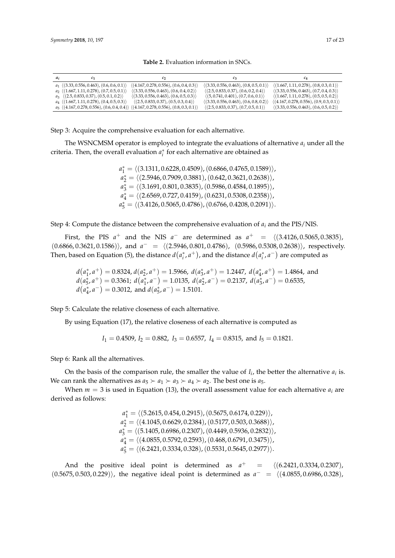<span id="page-16-0"></span>

| $a_i$ | C1                                               | $c_2$                                                                                                               | $^{12}$                                                 | $c_4$                                                    |
|-------|--------------------------------------------------|---------------------------------------------------------------------------------------------------------------------|---------------------------------------------------------|----------------------------------------------------------|
|       | $a_1$ $(3.33, 0.556, 0.463), (0.6, 0.6, 0.1))$   | $\langle (4.167, 0.278, 0.556), (0.6, 0.4, 0.3) \rangle$                                                            | $\langle (3.33, 0.556, 0.463), (0.8, 0.5, 0.1) \rangle$ | $\langle (1.667, 1.11, 0.278), (0.8, 0.3, 0.1) \rangle$  |
|       | $a_2$ $(1.667, 1.11, 0.278)$ , $(0.7, 0.5, 0.1)$ | $\langle (3.33, 0.556, 0.463), (0.6, 0.4, 0.2) \rangle$                                                             | $\langle (2.5, 0.833, 0.37), (0.6, 0.2, 0.4) \rangle$   | $\langle (3.33, 0.556, 0.463), (0.7, 0.4, 0.3) \rangle$  |
|       | $a_3$ $(2.5, 0.833, 0.37), (0.5, 0.1, 0.2))$     | $\langle (3.33, 0.556, 0.463), (0.6, 0.5, 0.3) \rangle$                                                             | $\langle (5, 0.741, 0.401), (0.7, 0.6, 0.1) \rangle$    | $\langle (1.667, 1.11, 0.278), (0.5, 0.5, 0.2) \rangle$  |
|       | $a_4$ $(1.667, 1.11, 0.278), (0.4, 0.5, 0.3)$    | $\langle (2.5, 0.833, 0.37), (0.5, 0.3, 0.4) \rangle$                                                               | $\langle (3.33, 0.556, 0.463), (0.6, 0.8, 0.2) \rangle$ | $\langle (4.167, 0.278, 0.556), (0.9, 0.3, 0.1) \rangle$ |
|       |                                                  | $a_5 \langle (4.167, 0.278, 0.556), (0.6, 0.4, 0.4) \rangle \langle (4.167, 0.278, 0.556), (0.8, 0.3, 0.1) \rangle$ | $\langle (2.5, 0.833, 0.37), (0.7, 0.5, 0.1) \rangle$   | $\langle (3.33, 0.556, 0.463), (0.6, 0.5, 0.2) \rangle$  |

**Table 2.** Evaluation information in SNCs.

Step 3: Acquire the comprehensive evaluation for each alternative.

The WSNCMSM operator is employed to integrate the evaluations of alternative *a<sup>i</sup>* under all the criteria. Then, the overall evaluation  $a_i^*$  for each alternative are obtained as

> $a_1^* = \langle (3.1311, 0.6228, 0.4509), (0.6866, 0.4765, 0.1589) \rangle$  $a_2^* = \langle (2.5946, 0.7909, 0.3881), (0.642, 0.3621, 0.2638) \rangle$  $a_3^* = \langle (3.1691, 0.801, 0.3835), (0.5986, 0.4584, 0.1895) \rangle$  $a_4^* = \langle (2.6569, 0.727, 0.4159), (0.6231, 0.5308, 0.2358) \rangle$  $a_5^* = \langle (3.4126, 0.5065, 0.4786), (0.6766, 0.4208, 0.2091) \rangle.$

Step 4: Compute the distance between the comprehensive evaluation of *a<sup>i</sup>* and the PIS/NIS.

First, the PIS  $a^+$  and the NIS  $a^-$  are determined as  $a^+ = \langle (3.4126, 0.5065, 0.3835),$  $(0.6866, 0.3621, 0.1586)$ , and  $a^- = \langle (2.5946, 0.801, 0.4786)$ ,  $(0.5986, 0.5308, 0.2638)$ , respectively. Then, based on Equation (5), the distance  $d(a_i^*, a^+)$ , and the distance  $d(a_i^*, a^-)$  are computed as

 $d(a_1^*, a^+) = 0.8324$ ,  $d(a_2^*, a^+) = 1.5966$ ,  $d(a_3^*, a^+) = 1.2447$ ,  $d(a_4^*, a^+) = 1.4864$ , and  $d(a_5^*, a^+) = 0.3361; d(a_1^*, a^-) = 1.0135, d(a_2^*, a^-) = 0.2137, d(a_3^*, a^-) = 0.6535,$  $d(a_4^*, a^-) = 0.3012$ , and  $d(a_5^*, a^-) = 1.5101$ .

Step 5: Calculate the relative closeness of each alternative.

By using Equation (17), the relative closeness of each alternative is computed as

 $I_1 = 0.4509$ ,  $I_2 = 0.882$ ,  $I_3 = 0.6557$ ,  $I_4 = 0.8315$ , and  $I_5 = 0.1821$ .

Step 6: Rank all the alternatives.

On the basis of the comparison rule, the smaller the value of  $I_i$ , the better the alternative  $a_i$  is. We can rank the alternatives as  $a_5 \succ a_1 \succ a_3 \succ a_4 \succ a_2$ . The best one is  $a_5$ .

When  $m = 3$  is used in Equation (13), the overall assessment value for each alternative  $a_i$  are derived as follows:

> $a_1^* = \langle (5.2615, 0.454, 0.2915), (0.5675, 0.6174, 0.229) \rangle$  $a_2^* = \langle (4.1045, 0.6629, 0.2384), (0.5177, 0.503, 0.3688) \rangle$  $a_3^* = \langle (5.1405, 0.6986, 0.2307), (0.4449, 0.5936, 0.2832) \rangle$  $a_4^* = \langle (4.0855, 0.5792, 0.2593), (0.468, 0.6791, 0.3475) \rangle$  $a_5^* = \langle (6.2421, 0.3334, 0.328), (0.5531, 0.5645, 0.2977) \rangle.$

And the positive ideal point is determined as *a*  $=$   $\langle (6.2421, 0.3334, 0.2307),$  $(0.5675, 0.503, 0.229)$ , the negative ideal point is determined as  $a^- = \langle (4.0855, 0.6986, 0.328) \rangle$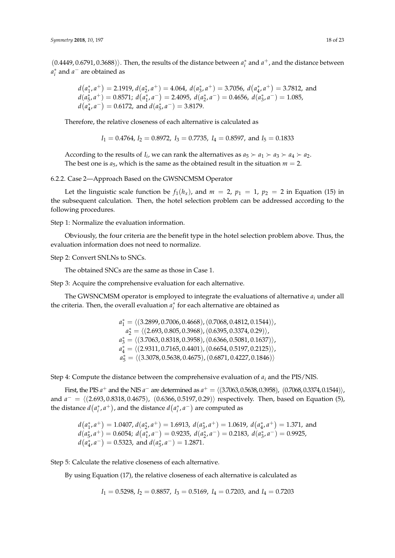$(0.4449, 0.6791, 0.3688)$ . Then, the results of the distance between  $a_i^*$  and  $a^+$ , and the distance between  $a_i^*$  and  $a^-$  are obtained as

$$
d(a_1^*, a^+) = 2.1919
$$
,  $d(a_2^*, a^+) = 4.064$ ,  $d(a_3^*, a^+) = 3.7056$ ,  $d(a_4^*, a^+) = 3.7812$ , and  $d(a_5^*, a^+) = 0.8571$ ;  $d(a_1^*, a^-) = 2.4095$ ,  $d(a_2^*, a^-) = 0.4656$ ,  $d(a_3^*, a^-) = 1.085$ ,  $d(a_4^*, a^-) = 0.6172$ , and  $d(a_5^*, a^-) = 3.8179$ .

Therefore, the relative closeness of each alternative is calculated as

$$
I_1 = 0.4764
$$
,  $I_2 = 0.8972$ ,  $I_3 = 0.7735$ ,  $I_4 = 0.8597$ , and  $I_5 = 0.1833$ 

According to the results of *I<sub>i</sub>*, we can rank the alternatives as  $a_5 \succ a_1 \succ a_3 \succ a_4 \succ a_2$ . The best one is  $a_5$ , which is the same as the obtained result in the situation  $m = 2$ .

6.2.2. Case 2—Approach Based on the GWSNCMSM Operator

Let the linguistic scale function be  $f_1(h_x)$ , and  $m = 2$ ,  $p_1 = 1$ ,  $p_2 = 2$  in Equation (15) in the subsequent calculation. Then, the hotel selection problem can be addressed according to the following procedures.

Step 1: Normalize the evaluation information.

Obviously, the four criteria are the benefit type in the hotel selection problem above. Thus, the evaluation information does not need to normalize.

Step 2: Convert SNLNs to SNCs.

The obtained SNCs are the same as those in Case 1.

Step 3: Acquire the comprehensive evaluation for each alternative.

The GWSNCMSM operator is employed to integrate the evaluations of alternative *a<sup>i</sup>* under all the criteria. Then, the overall evaluation  $a_i^*$  for each alternative are obtained as

> $a_1^* = \langle (3.2899, 0.7006, 0.4668), (0.7068, 0.4812, 0.1544) \rangle$  $a_2^* = \langle (2.693, 0.805, 0.3968), (0.6395, 0.3374, 0.29) \rangle$  $a_3^* = \langle (3.7063, 0.8318, 0.3958), (0.6366, 0.5081, 0.1637) \rangle$  $a_4^* = \langle (2.9311, 0.7165, 0.4401), (0.6654, 0.5197, 0.2125) \rangle$  $a_5^* = \langle (3.3078, 0.5638, 0.4675), (0.6871, 0.4227, 0.1846) \rangle$

Step 4: Compute the distance between the comprehensive evaluation of *a<sup>i</sup>* and the PIS/NIS.

First, the PIS  $a^+$  and the NIS  $a^-$  are determined as  $a^+ = \langle (3.7063, 0.5638, 0.3958), (0.7068, 0.3374, 0.1544) \rangle$ , and  $a^- = \langle (2.693, 0.8318, 0.4675), (0.6366, 0.5197, 0.29) \rangle$  respectively. Then, based on Equation (5), the distance  $d(a_i^*, a^+)$ , and the distance  $d(a_i^*, a^-)$  are computed as

 $d(a_1^*, a^+) = 1.0407$ ,  $d(a_2^*, a^+) = 1.6913$ ,  $d(a_3^*, a^+) = 1.0619$ ,  $d(a_4^*, a^+) = 1.371$ , and  $d(a_5^*, a^+) = 0.6054$ ;  $d(a_1^*, a^-) = 0.9235$ ,  $d(a_2^*, a^-) = 0.2183$ ,  $d(a_3^*, a^-) = 0.9925$ ,  $d(a_4^*, a^-) = 0.5323$ , and  $d(a_5^*, a^-) = 1.2871$ .

Step 5: Calculate the relative closeness of each alternative.

By using Equation (17), the relative closeness of each alternative is calculated as

*I*<sup>1</sup> = 0.5298, *I*<sup>2</sup> = 0.8857, *I*<sup>3</sup> = 0.5169, *I*<sup>4</sup> = 0.7203, and *I*<sup>4</sup> = 0.7203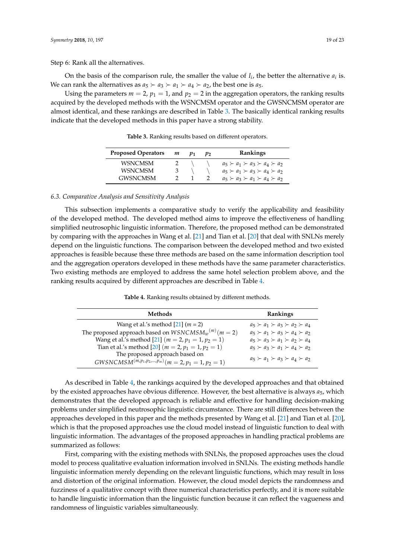Step 6: Rank all the alternatives.

On the basis of the comparison rule, the smaller the value of  $I_i$ , the better the alternative  $a_i$  is. We can rank the alternatives as  $a_5 \succ a_3 \succ a_1 \succ a_4 \succ a_2$ , the best one is  $a_5$ .

<span id="page-18-0"></span>Using the parameters  $m = 2$ ,  $p_1 = 1$ , and  $p_2 = 2$  in the aggregation operators, the ranking results acquired by the developed methods with the WSNCMSM operator and the GWSNCMSM operator are almost identical, and these rankings are described in Table [3.](#page-18-0) The basically identical ranking results indicate that the developed methods in this paper have a strong stability.

| <b>Proposed Operators</b> | m | $p_2$ | <b>Rankings</b>                               |
|---------------------------|---|-------|-----------------------------------------------|
| <b>WSNCMSM</b>            |   |       | $a_5 \succ a_1 \succ a_3 \succ a_4 \succ a_2$ |
| <b>WSNCMSM</b>            | 3 |       | $a_5 \succ a_1 \succ a_3 \succ a_4 \succ a_2$ |
| <b>GWSNCMSM</b>           |   |       | $a_5 \succ a_3 \succ a_1 \succ a_4 \succ a_2$ |

**Table 3.** Ranking results based on different operators.

#### *6.3. Comparative Analysis and Sensitivity Analysis*

This subsection implements a comparative study to verify the applicability and feasibility of the developed method. The developed method aims to improve the effectiveness of handling simplified neutrosophic linguistic information. Therefore, the proposed method can be demonstrated by comparing with the approaches in Wang et al. [\[21\]](#page-21-5) and Tian et al. [\[20\]](#page-21-4) that deal with SNLNs merely depend on the linguistic functions. The comparison between the developed method and two existed approaches is feasible because these three methods are based on the same information description tool and the aggregation operators developed in these methods have the same parameter characteristics. Two existing methods are employed to address the same hotel selection problem above, and the ranking results acquired by different approaches are described in Table [4.](#page-18-1)

**Table 4.** Ranking results obtained by different methods.

<span id="page-18-1"></span>

| <b>Methods</b>                                                | Rankings                                      |
|---------------------------------------------------------------|-----------------------------------------------|
| Wang et al.'s method $[21]$ ( <i>m</i> = 2)                   | $a_5 \succ a_1 \succ a_3 \succ a_2 \succ a_4$ |
| The proposed approach based on $WSNCMSM_w^{(m)}(m=2)$         | $a_5 \succ a_1 \succ a_3 \succ a_4 \succ a_2$ |
| Wang et al.'s method [21] ( $m = 2$ , $p_1 = 1$ , $p_2 = 1$ ) | $a_5 \succ a_3 \succ a_1 \succ a_2 \succ a_4$ |
| Tian et al.'s method [20] ( $m = 2$ , $p_1 = 1$ , $p_2 = 1$ ) | $a_5 \succ a_3 \succ a_1 \succ a_4 \succ a_2$ |
| The proposed approach based on                                | $a_5 \succ a_1 \succ a_3 \succ a_4 \succ a_2$ |
| $GWSNCMSM^{(m,p_1,p_2,,p_m)}$ $(m = 2, p_1 = 1, p_2 = 1)$     |                                               |

As described in Table [4,](#page-18-1) the rankings acquired by the developed approaches and that obtained by the existed approaches have obvious difference. However, the best alternative is always *a*5, which demonstrates that the developed approach is reliable and effective for handling decision-making problems under simplified neutrosophic linguistic circumstance. There are still differences between the approaches developed in this paper and the methods presented by Wang et al. [\[21\]](#page-21-5) and Tian et al. [\[20\]](#page-21-4), which is that the proposed approaches use the cloud model instead of linguistic function to deal with linguistic information. The advantages of the proposed approaches in handling practical problems are summarized as follows:

First, comparing with the existing methods with SNLNs, the proposed approaches uses the cloud model to process qualitative evaluation information involved in SNLNs. The existing methods handle linguistic information merely depending on the relevant linguistic functions, which may result in loss and distortion of the original information. However, the cloud model depicts the randomness and fuzziness of a qualitative concept with three numerical characteristics perfectly, and it is more suitable to handle linguistic information than the linguistic function because it can reflect the vagueness and randomness of linguistic variables simultaneously.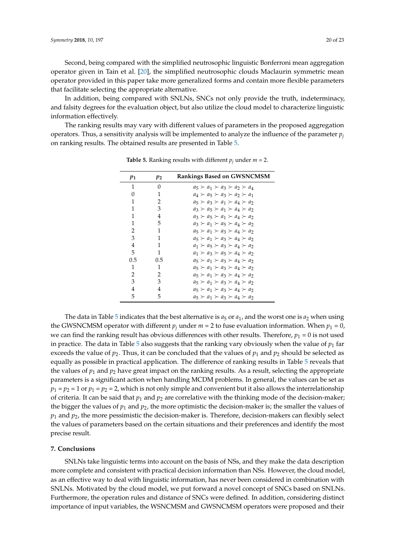Second, being compared with the simplified neutrosophic linguistic Bonferroni mean aggregation operator given in Tain et al. [\[20\]](#page-21-4), the simplified neutrosophic clouds Maclaurin symmetric mean operator provided in this paper take more generalized forms and contain more flexible parameters that facilitate selecting the appropriate alternative.

In addition, being compared with SNLNs, SNCs not only provide the truth, indeterminacy, and falsity degrees for the evaluation object, but also utilize the cloud model to characterize linguistic information effectively.

<span id="page-19-1"></span>The ranking results may vary with different values of parameters in the proposed aggregation operators. Thus, a sensitivity analysis will be implemented to analyze the influence of the parameter  $p_i$ on ranking results. The obtained results are presented in Table [5.](#page-19-1)

| $p_1$         | $p_{2}$ | <b>Rankings Based on GWSNCMSM</b>             |
|---------------|---------|-----------------------------------------------|
| 1             | 0       | $a_5 \succ a_1 \succ a_3 \succ a_2 \succ a_4$ |
| 0             | 1       | $a_4 \succ a_5 \succ a_3 \succ a_2 \succ a_1$ |
| 1             | 2       | $a_5 \succ a_3 \succ a_1 \succ a_4 \succ a_2$ |
| 1             | 3       | $a_3 \succ a_5 \succ a_1 \succ a_4 \succ a_2$ |
| 1             | 4       | $a_3 \succ a_5 \succ a_1 \succ a_4 \succ a_2$ |
| 1             | 5       | $a_3 \succ a_1 \succ a_5 \succ a_4 \succ a_2$ |
| 2             | 1       | $a_5 \succ a_1 \succ a_3 \succ a_4 \succ a_2$ |
| 3             | 1       | $a_5 \succ a_1 \succ a_3 \succ a_4 \succ a_2$ |
| 4             | 1       | $a_1 \succ a_5 \succ a_3 \succ a_4 \succ a_2$ |
| 5             | 1       | $a_1 \succ a_3 \succ a_5 \succ a_4 \succ a_2$ |
| 0.5           | 0.5     | $a_5 \succ a_1 \succ a_3 \succ a_4 \succ a_2$ |
| 1             | 1       | $a_5 \succ a_1 \succ a_3 \succ a_4 \succ a_2$ |
| $\mathcal{L}$ | 2       | $a_5 \succ a_1 \succ a_3 \succ a_4 \succ a_2$ |
| 3             | 3       | $a_5 \succ a_1 \succ a_3 \succ a_4 \succ a_2$ |
| 4             | 4       | $a_5 \succ a_1 \succ a_3 \succ a_4 \succ a_2$ |
| 5             | 5       | $a_5 \succ a_1 \succ a_3 \succ a_4 \succ a_2$ |

**Table 5.** Ranking results with different  $p_i$  under  $m = 2$ .

The data in Table [5](#page-19-1) indicates that the best alternative is  $a_5$  or  $a_1$ , and the worst one is  $a_2$  when using the GWSNCMSM operator with different  $p_j$  under  $m = 2$  to fuse evaluation information. When  $p_1 = 0$ , we can find the ranking result has obvious differences with other results. Therefore,  $p_1 = 0$  is not used in practice. The data in Table [5](#page-19-1) also suggests that the ranking vary obviously when the value of  $p_1$  far exceeds the value of  $p_2$ . Thus, it can be concluded that the values of  $p_1$  and  $p_2$  should be selected as equally as possible in practical application. The difference of ranking results in Table [5](#page-19-1) reveals that the values of  $p_1$  and  $p_2$  have great impact on the ranking results. As a result, selecting the appropriate parameters is a significant action when handling MCDM problems. In general, the values can be set as  $p_1 = p_2 = 1$  or  $p_1 = p_2 = 2$ , which is not only simple and convenient but it also allows the interrelationship of criteria. It can be said that  $p_1$  and  $p_2$  are correlative with the thinking mode of the decision-maker; the bigger the values of  $p_1$  and  $p_2$ , the more optimistic the decision-maker is; the smaller the values of  $p_1$  and  $p_2$ , the more pessimistic the decision-maker is. Therefore, decision-makers can flexibly select the values of parameters based on the certain situations and their preferences and identify the most precise result.

# <span id="page-19-0"></span>**7. Conclusions**

SNLNs take linguistic terms into account on the basis of NSs, and they make the data description more complete and consistent with practical decision information than NSs. However, the cloud model, as an effective way to deal with linguistic information, has never been considered in combination with SNLNs. Motivated by the cloud model, we put forward a novel concept of SNCs based on SNLNs. Furthermore, the operation rules and distance of SNCs were defined. In addition, considering distinct importance of input variables, the WSNCMSM and GWSNCMSM operators were proposed and their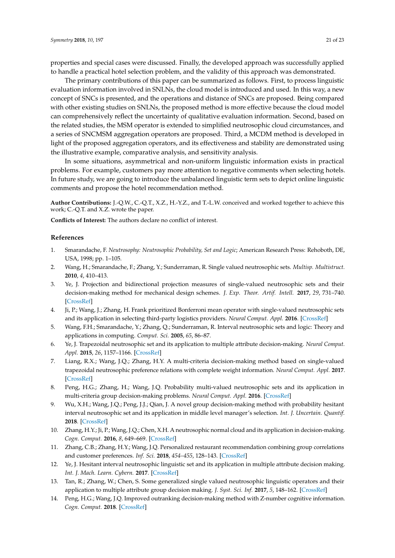properties and special cases were discussed. Finally, the developed approach was successfully applied to handle a practical hotel selection problem, and the validity of this approach was demonstrated.

The primary contributions of this paper can be summarized as follows. First, to process linguistic evaluation information involved in SNLNs, the cloud model is introduced and used. In this way, a new concept of SNCs is presented, and the operations and distance of SNCs are proposed. Being compared with other existing studies on SNLNs, the proposed method is more effective because the cloud model can comprehensively reflect the uncertainty of qualitative evaluation information. Second, based on the related studies, the MSM operator is extended to simplified neutrosophic cloud circumstances, and a series of SNCMSM aggregation operators are proposed. Third, a MCDM method is developed in light of the proposed aggregation operators, and its effectiveness and stability are demonstrated using the illustrative example, comparative analysis, and sensitivity analysis.

In some situations, asymmetrical and non-uniform linguistic information exists in practical problems. For example, customers pay more attention to negative comments when selecting hotels. In future study, we are going to introduce the unbalanced linguistic term sets to depict online linguistic comments and propose the hotel recommendation method.

**Author Contributions:** J.-Q.W., C.-Q.T., X.Z., H.-Y.Z., and T.-L.W. conceived and worked together to achieve this work; C.-Q.T. and X.Z. wrote the paper.

**Conflicts of Interest:** The authors declare no conflict of interest.

#### **References**

- <span id="page-20-0"></span>1. Smarandache, F. *Neutrosophy: Neutrosophic Probability, Set and Logic*; American Research Press: Rehoboth, DE, USA, 1998; pp. 1–105.
- <span id="page-20-1"></span>2. Wang, H.; Smarandache, F.; Zhang, Y.; Sunderraman, R. Single valued neutrosophic sets. *Multisp. Multistruct.* **2010**, *4*, 410–413.
- <span id="page-20-2"></span>3. Ye, J. Projection and bidirectional projection measures of single-valued neutrosophic sets and their decision-making method for mechanical design schemes. *J. Exp. Theor. Artif. Intell.* **2017**, *29*, 731–740. [\[CrossRef\]](http://dx.doi.org/10.1080/0952813X.2016.1259263)
- <span id="page-20-3"></span>4. Ji, P.; Wang, J.; Zhang, H. Frank prioritized Bonferroni mean operator with single-valued neutrosophic sets and its application in selecting third-party logistics providers. *Neural Comput. Appl.* **2016**. [\[CrossRef\]](http://dx.doi.org/10.1007/s00521-016-2660-6)
- <span id="page-20-4"></span>5. Wang, F.H.; Smarandache, Y.; Zhang, Q.; Sunderraman, R. Interval neutrosophic sets and logic: Theory and applications in computing. *Comput. Sci.* **2005**, *65*, 86–87.
- <span id="page-20-5"></span>6. Ye, J. Trapezoidal neutrosophic set and its application to multiple attribute decision-making. *Neural Comput. Appl.* **2015**, *26*, 1157–1166. [\[CrossRef\]](http://dx.doi.org/10.1007/s00521-014-1787-6)
- <span id="page-20-6"></span>7. Liang, R.X.; Wang, J.Q.; Zhang, H.Y. A multi-criteria decision-making method based on single-valued trapezoidal neutrosophic preference relations with complete weight information. *Neural Comput. Appl.* **2017**. [\[CrossRef\]](http://dx.doi.org/10.1007/s00521-017-2925-8)
- <span id="page-20-7"></span>8. Peng, H.G.; Zhang, H.; Wang, J.Q. Probability multi-valued neutrosophic sets and its application in multi-criteria group decision-making problems. *Neural Comput. Appl.* **2016**. [\[CrossRef\]](http://dx.doi.org/10.1007/s00521-016-2702-0)
- <span id="page-20-8"></span>9. Wu, X.H.; Wang, J.Q.; Peng, J.J.; Qian, J. A novel group decision-making method with probability hesitant interval neutrosophic set and its application in middle level manager's selection. *Int. J. Uncertain. Quantif.* **2018**. [\[CrossRef\]](http://dx.doi.org/10.1615/Int.J.UncertaintyQuantification.2018020671)
- <span id="page-20-9"></span>10. Zhang, H.Y.; Ji, P.; Wang, J.Q.; Chen, X.H. A neutrosophic normal cloud and its application in decision-making. *Cogn. Comput.* **2016**, *8*, 649–669. [\[CrossRef\]](http://dx.doi.org/10.1007/s12559-016-9394-8)
- <span id="page-20-10"></span>11. Zhang, C.B.; Zhang, H.Y.; Wang, J.Q. Personalized restaurant recommendation combining group correlations and customer preferences. *Inf. Sci.* **2018**, *454–455*, 128–143. [\[CrossRef\]](http://dx.doi.org/10.1016/j.ins.2018.04.061)
- <span id="page-20-11"></span>12. Ye, J. Hesitant interval neutrosophic linguistic set and its application in multiple attribute decision making. *Int. J. Mach. Learn. Cybern.* **2017**. [\[CrossRef\]](http://dx.doi.org/10.1007/s13042-017-0747-8)
- <span id="page-20-12"></span>13. Tan, R.; Zhang, W.; Chen, S. Some generalized single valued neutrosophic linguistic operators and their application to multiple attribute group decision making. *J. Syst. Sci. Inf.* **2017**, *5*, 148–162. [\[CrossRef\]](http://dx.doi.org/10.21078/JSSI-2017-148-15)
- <span id="page-20-13"></span>14. Peng, H.G.; Wang, J.Q. Improved outranking decision-making method with Z-number cognitive information. *Cogn. Comput.* **2018**. [\[CrossRef\]](http://dx.doi.org/10.1007/s12559-018-9556-y)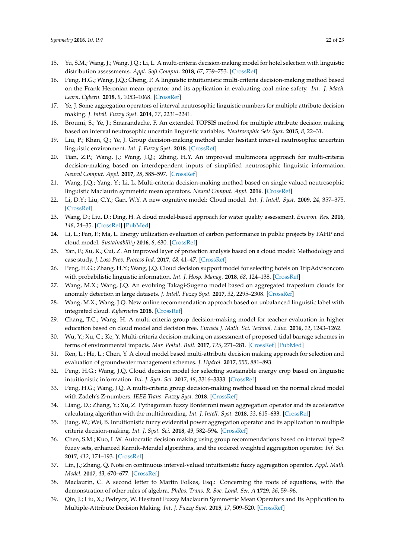- 15. Yu, S.M.; Wang, J.; Wang, J.Q.; Li, L. A multi-criteria decision-making model for hotel selection with linguistic distribution assessments. *Appl. Soft Comput.* **2018**, *67*, 739–753. [\[CrossRef\]](http://dx.doi.org/10.1016/j.asoc.2017.08.009)
- <span id="page-21-0"></span>16. Peng, H.G.; Wang, J.Q.; Cheng, P. A linguistic intuitionistic multi-criteria decision-making method based on the Frank Heronian mean operator and its application in evaluating coal mine safety. *Int. J. Mach. Learn. Cybern.* **2018**, *9*, 1053–1068. [\[CrossRef\]](http://dx.doi.org/10.1007/s13042-016-0630-z)
- <span id="page-21-1"></span>17. Ye, J. Some aggregation operators of interval neutrosophic linguistic numbers for multiple attribute decision making. *J. Intell. Fuzzy Syst.* **2014**, *27*, 2231–2241.
- <span id="page-21-2"></span>18. Broumi, S.; Ye, J.; Smarandache, F. An extended TOPSIS method for multiple attribute decision making based on interval neutrosophic uncertain linguistic variables. *Neutrosophic Sets Syst.* **2015**, *8*, 22–31.
- <span id="page-21-3"></span>19. Liu, P.; Khan, Q.; Ye, J. Group decision-making method under hesitant interval neutrosophic uncertain linguistic environment. *Int. J. Fuzzy Syst.* **2018**. [\[CrossRef\]](http://dx.doi.org/10.1007/s40815-017-0445-4)
- <span id="page-21-4"></span>20. Tian, Z.P.; Wang, J.; Wang, J.Q.; Zhang, H.Y. An improved multimoora approach for multi-criteria decision-making based on interdependent inputs of simplified neutrosophic linguistic information. *Neural Comput. Appl.* **2017**, *28*, 585–597. [\[CrossRef\]](http://dx.doi.org/10.1007/s00521-016-2378-5)
- <span id="page-21-5"></span>21. Wang, J.Q.; Yang, Y.; Li, L. Multi-criteria decision-making method based on single valued neutrosophic linguistic Maclaurin symmetric mean operators. *Neural Comput. Appl.* **2016**. [\[CrossRef\]](http://dx.doi.org/10.1007/s00521-016-2747-0)
- <span id="page-21-6"></span>22. Li, D.Y.; Liu, C.Y.; Gan, W.Y. A new cognitive model: Cloud model. *Int. J. Intell. Syst.* **2009**, *24*, 357–375. [\[CrossRef\]](http://dx.doi.org/10.1002/int.20340)
- <span id="page-21-7"></span>23. Wang, D.; Liu, D.; Ding, H. A cloud model-based approach for water quality assessment. *Environ. Res.* **2016**, *148*, 24–35. [\[CrossRef\]](http://dx.doi.org/10.1016/j.envres.2016.03.005) [\[PubMed\]](http://www.ncbi.nlm.nih.gov/pubmed/26995351)
- 24. Li, L.; Fan, F.; Ma, L. Energy utilization evaluation of carbon performance in public projects by FAHP and cloud model. *Sustainability* **2016**, *8*, 630. [\[CrossRef\]](http://dx.doi.org/10.3390/su8070630)
- <span id="page-21-8"></span>25. Yan, F.; Xu, K.; Cui, Z. An improved layer of protection analysis based on a cloud model: Methodology and case study. *J. Loss Prev. Process Ind.* **2017**, *48*, 41–47. [\[CrossRef\]](http://dx.doi.org/10.1016/j.jlp.2017.04.006)
- <span id="page-21-9"></span>26. Peng, H.G.; Zhang, H.Y.; Wang, J.Q. Cloud decision support model for selecting hotels on TripAdvisor.com with probabilistic linguistic information. *Int. J. Hosp. Manag.* **2018**, *68*, 124–138. [\[CrossRef\]](http://dx.doi.org/10.1016/j.ijhm.2017.10.001)
- <span id="page-21-10"></span>27. Wang, M.X.; Wang, J.Q. An evolving Takagi-Sugeno model based on aggregated trapezium clouds for anomaly detection in large datasets. *J. Intell. Fuzzy Syst.* **2017**, *32*, 2295–2308. [\[CrossRef\]](http://dx.doi.org/10.3233/JIFS-16254)
- <span id="page-21-11"></span>28. Wang, M.X.; Wang, J.Q. New online recommendation approach based on unbalanced linguistic label with integrated cloud. *Kybernetes* **2018**. [\[CrossRef\]](http://dx.doi.org/10.1108/K-06-2017-0211)
- <span id="page-21-12"></span>29. Chang, T.C.; Wang, H. A multi criteria group decision-making model for teacher evaluation in higher education based on cloud model and decision tree. *Eurasia J. Math. Sci. Technol. Educ.* **2016**, *12*, 1243–1262.
- 30. Wu, Y.; Xu, C.; Ke, Y. Multi-criteria decision-making on assessment of proposed tidal barrage schemes in terms of environmental impacts. *Mar. Pollut. Bull.* **2017**, *125*, 271–281. [\[CrossRef\]](http://dx.doi.org/10.1016/j.marpolbul.2017.08.030) [\[PubMed\]](http://www.ncbi.nlm.nih.gov/pubmed/28844777)
- <span id="page-21-13"></span>31. Ren, L.; He, L.; Chen, Y. A cloud model based multi-attribute decision making approach for selection and evaluation of groundwater management schemes. *J. Hydrol.* **2017**, *555*, 881–893.
- <span id="page-21-14"></span>32. Peng, H.G.; Wang, J.Q. Cloud decision model for selecting sustainable energy crop based on linguistic intuitionistic information. *Int. J. Syst. Sci.* **2017**, *48*, 3316–3333. [\[CrossRef\]](http://dx.doi.org/10.1080/00207721.2017.1367433)
- <span id="page-21-15"></span>33. Peng, H.G.; Wang, J.Q. A multi-criteria group decision-making method based on the normal cloud model with Zadeh's Z-numbers. *IEEE Trans. Fuzzy Syst.* **2018**. [\[CrossRef\]](http://dx.doi.org/10.1109/TFUZZ.2018.2816909)
- <span id="page-21-16"></span>34. Liang, D.; Zhang, Y.; Xu, Z. Pythagorean fuzzy Bonferroni mean aggregation operator and its accelerative calculating algorithm with the multithreading. *Int. J. Intell. Syst.* **2018**, *33*, 615–633. [\[CrossRef\]](http://dx.doi.org/10.1002/int.21960)
- 35. Jiang, W.; Wei, B. Intuitionistic fuzzy evidential power aggregation operator and its application in multiple criteria decision-making. *Int. J. Syst. Sci.* **2018**, *49*, 582–594. [\[CrossRef\]](http://dx.doi.org/10.1080/00207721.2017.1411989)
- 36. Chen, S.M.; Kuo, L.W. Autocratic decision making using group recommendations based on interval type-2 fuzzy sets, enhanced Karnik–Mendel algorithms, and the ordered weighted aggregation operator. *Inf. Sci.* **2017**, *412*, 174–193. [\[CrossRef\]](http://dx.doi.org/10.1016/j.ins.2017.05.030)
- <span id="page-21-17"></span>37. Lin, J.; Zhang, Q. Note on continuous interval-valued intuitionistic fuzzy aggregation operator. *Appl. Math. Model.* **2017**, *43*, 670–677. [\[CrossRef\]](http://dx.doi.org/10.1016/j.apm.2016.09.003)
- <span id="page-21-18"></span>38. Maclaurin, C. A second letter to Martin Folkes, Esq.: Concerning the roots of equations, with the demonstration of other rules of algebra. *Philos. Trans. R. Soc. Lond. Ser. A* **1729**, *36*, 59–96.
- <span id="page-21-19"></span>39. Qin, J.; Liu, X.; Pedrycz, W. Hesitant Fuzzy Maclaurin Symmetric Mean Operators and Its Application to Multiple-Attribute Decision Making. *Int. J. Fuzzy Syst.* **2015**, *17*, 509–520. [\[CrossRef\]](http://dx.doi.org/10.1007/s40815-015-0049-9)